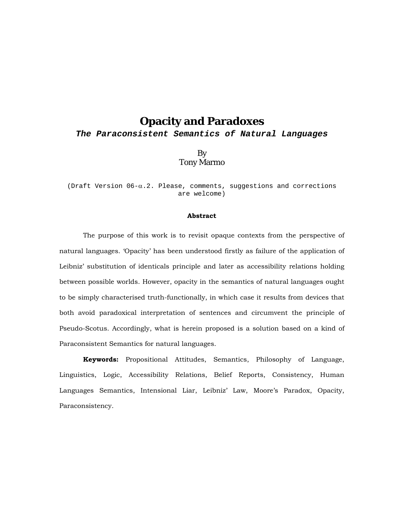*The Paraconsistent Semantics of Natural Languages* 

By Tony Marmo

(Draft Version  $06-\alpha.2$ . Please, comments, suggestions and corrections are welcome)

#### **Abstract**

The purpose of this work is to revisit opaque contexts from the perspective of natural languages. 'Opacity' has been understood firstly as failure of the application of Leibniz' substitution of identicals principle and later as accessibility relations holding between possible worlds. However, opacity in the semantics of natural languages ought to be simply characterised truth-functionally, in which case it results from devices that both avoid paradoxical interpretation of sentences and circumvent the principle of Pseudo-Scotus. Accordingly, what is herein proposed is a solution based on a kind of Paraconsistent Semantics for natural languages.

**Keywords:** Propositional Attitudes, Semantics, Philosophy of Language, Linguistics, Logic, Accessibility Relations, Belief Reports, Consistency, Human Languages Semantics, Intensional Liar, Leibniz' Law, Moore's Paradox, Opacity, Paraconsistency.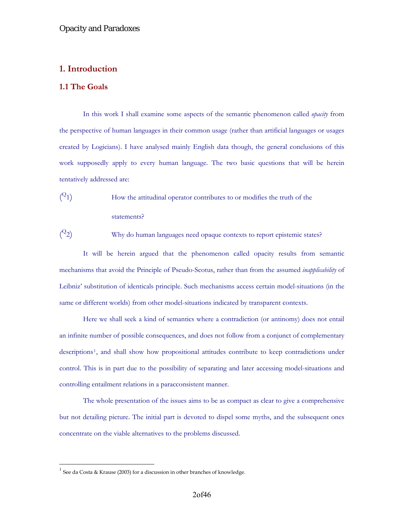## **1. Introduction**

## **1.1 The Goals**

In this work I shall examine some aspects of the semantic phenomenon called *opacity* from the perspective of human languages in their common usage (rather than artificial languages or usages created by Logicians). I have analysed mainly English data though, the general conclusions of this work supposedly apply to every human language. The two basic questions that will be herein tentatively addressed are:

 $(2_1)$ How the attitudinal operator contributes to or modifies the truth of the statements?

 $(2)$ Why do human languages need opaque contexts to report epistemic states?

It will be herein argued that the phenomenon called opacity results from semantic mechanisms that avoid the Principle of Pseudo-Scotus, rather than from the assumed *inapplicability* of Leibniz' substitution of identicals principle. Such mechanisms access certain model-situations (in the same or different worlds) from other model-situations indicated by transparent contexts.

Here we shall seek a kind of semantics where a contradiction (or antinomy) does not entail an infinite number of possible consequences, and does not follow from a conjunct of complementary descriptions[1](#page-1-0), and shall show how propositional attitudes contribute to keep contradictions under control. This is in part due to the possibility of separating and later accessing model-situations and controlling entailment relations in a paracconsistent manner.

The whole presentation of the issues aims to be as compact as clear to give a comprehensive but not detailing picture. The initial part is devoted to dispel some myths, and the subsequent ones concentrate on the viable alternatives to the problems discussed.

 $\overline{a}$ 

<span id="page-1-0"></span> $1$  See da Costa & Krause (2003) for a discussion in other branches of knowledge.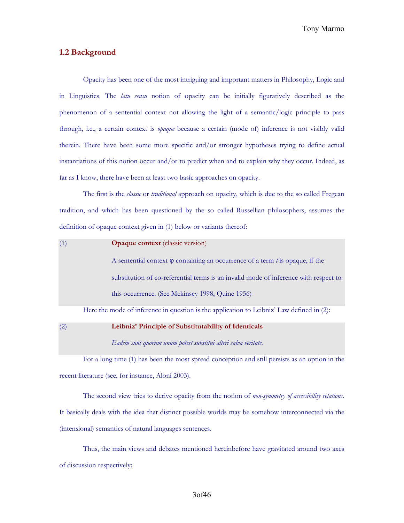Tony Marmo

## **1.2 Background**

Opacity has been one of the most intriguing and important matters in Philosophy, Logic and in Linguistics. The *latu sensu* notion of opacity can be initially figuratively described as the phenomenon of a sentential context not allowing the light of a semantic/logic principle to pass through, i.e., a certain context is *opaque* because a certain (mode of) inference is not visibly valid therein. There have been some more specific and/or stronger hypotheses trying to define actual instantiations of this notion occur and/or to predict when and to explain why they occur. Indeed, as far as I know, there have been at least two basic approaches on opacity.

The first is the *classic* or *traditional* approach on opacity, which is due to the so called Fregean tradition, and which has been questioned by the so called Russellian philosophers, assumes the definition of opaque context given in (1) below or variants thereof:

| (1) | <b>Opaque context</b> (classic version)                                                   |
|-----|-------------------------------------------------------------------------------------------|
|     | A sentential context $\varphi$ containing an occurrence of a term t is opaque, if the     |
|     | substitution of co-referential terms is an invalid mode of inference with respect to      |
|     | this occurrence. (See Mckinsey 1998, Quine 1956)                                          |
|     | Here the mode of inference in question is the application to Leibniz' Law defined in (2): |

(2) **Leibniz' Principle of Substitutability of Identicals** *Eadem sunt quorum unum potest substitui alteri salva veritate.*

For a long time (1) has been the most spread conception and still persists as an option in the recent literature (see, for instance, Aloni 2003).

The second view tries to derive opacity from the notion of *non-symmetry of accessibility relations*. It basically deals with the idea that distinct possible worlds may be somehow interconnected via the (intensional) semantics of natural languages sentences.

Thus, the main views and debates mentioned hereinbefore have gravitated around two axes of discussion respectively: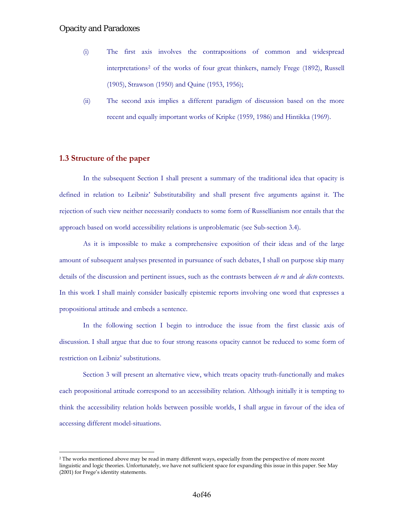- (i) The first axis involves the contrapositions of common and widespread interpretations[2](#page-3-0) of the works of four great thinkers, namely Frege (1892), Russell (1905), Strawson (1950) and Quine (1953, 1956);
- (ii) The second axis implies a different paradigm of discussion based on the more recent and equally important works of Kripke (1959, 1986) and Hintikka (1969).

## **1.3 Structure of the paper**

 $\overline{a}$ 

In the subsequent Section I shall present a summary of the traditional idea that opacity is defined in relation to Leibniz' Substitutability and shall present five arguments against it. The rejection of such view neither necessarily conducts to some form of Russellianism nor entails that the approach based on world accessibility relations is unproblematic (see Sub-section 3.4).

As it is impossible to make a comprehensive exposition of their ideas and of the large amount of subsequent analyses presented in pursuance of such debates, I shall on purpose skip many details of the discussion and pertinent issues, such as the contrasts between *de re* and *de dicto* contexts. In this work I shall mainly consider basically epistemic reports involving one word that expresses a propositional attitude and embeds a sentence.

In the following section I begin to introduce the issue from the first classic axis of discussion. I shall argue that due to four strong reasons opacity cannot be reduced to some form of restriction on Leibniz' substitutions.

Section 3 will present an alternative view, which treats opacity truth-functionally and makes each propositional attitude correspond to an accessibility relation. Although initially it is tempting to think the accessibility relation holds between possible worlds, I shall argue in favour of the idea of accessing different model-situations.

<span id="page-3-0"></span><sup>2</sup> The works mentioned above may be read in many different ways, especially from the perspective of more recent linguistic and logic theories. Unfortunately, we have not sufficient space for expanding this issue in this paper. See May (2001) for Frege's identity statements.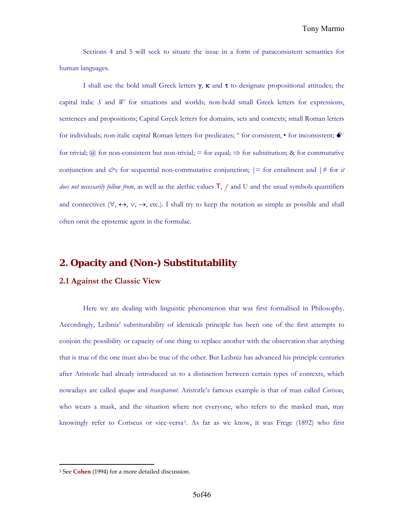Sections 4 and 5 will seek to situate the issue in a form of paraconsistent semantics for human languages.

I shall use the bold small Greek letters  $\gamma$ , κ and τ to designate propositional attitudes; the capital italic *S* and *W* for situations and worlds; non-bold small Greek letters for expressions, sentences and propositions; Capital Greek letters for domains, sets and contexts; small Roman letters for individuals; non-italic capital Roman letters for predicates;  $\circ$  for consistent,  $\bullet$  for inconsistent;  $\bullet$ for trivial; @ for non-consistent but non-trivial; = for equal;  $\Rightarrow$  for substitution; & for commutative conjunction and  $\mathcal{O}_T$  for sequential non-commutative conjunction;  $| =$  for entailment and  $| \neq$  for *it does not necessarily follow from*, as well as the alethic values T, ƒ and U and the usual symbols quantifiers and connectives ( $\forall$ ,  $\leftrightarrow$ ,  $\lor$ ,  $\rightarrow$ , etc.). I shall try to keep the notation as simple as possible and shall often omit the epistemic agent in the formulae.

## **2. Opacity and (Non-) Substitutability**

#### **2.1 Against the Classic View**

Here we are dealing with linguistic phenomenon that was first formalised in Philosophy. Accordingly, Leibniz' substitutability of identicals principle has been one of the first attempts to conjoin the possibility or capacity of one thing to replace another with the observation that anything that is true of the one must also be true of the other. But Leibniz has advanced his principle centuries after Aristotle had already introduced us to a distinction between certain types of contexts, which nowadays are called *opaque* and *transparent*. Aristotle's famous example is that of man called *Coriscus*, who wears a mask, and the situation where not everyone, who refers to the masked man, may knowingly refer to Coriscus or vice-versa[3](#page-4-0). As far as we know, it was Frege (1892) who first

 $\overline{a}$ 

<span id="page-4-0"></span><sup>3</sup> See **Cohen** (1994) for a more detailed discussion.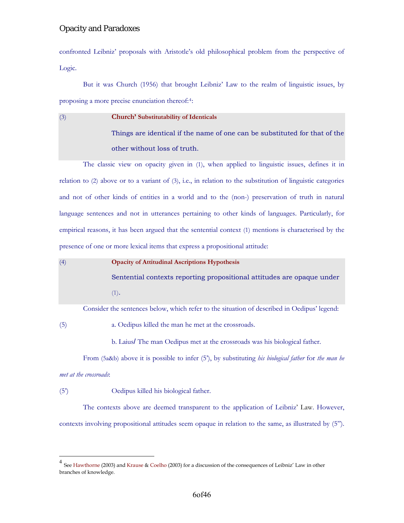confronted Leibniz' proposals with Aristotle's old philosophical problem from the perspective of Logic.

But it was Church (1956) that brought Leibniz' Law to the realm of linguistic issues, by proposing a more precise enunciation thereof:[4](#page-5-0):

(3) **Church' Substitutability of Identicals** Things are identical if the name of one can be substituted for that of the other without loss of truth.

The classic view on opacity given in (1), when applied to linguistic issues, defines it in relation to (2) above or to a variant of (3), i.e., in relation to the substitution of linguistic categories and not of other kinds of entities in a world and to the (non-) preservation of truth in natural language sentences and not in utterances pertaining to other kinds of languages. Particularly, for empirical reasons, it has been argued that the sentential context (1) mentions is characterised by the presence of one or more lexical items that express a propositional attitude:

(4) **Opacity of Attitudinal Ascriptions Hypothesis** Sentential contexts reporting propositional attitudes are opaque under (1).

Consider the sentences below, which refer to the situation of described in Oedipus' legend:

(5) a. Oedipus killed the man he met at the crossroads.

b. Laius/ The man Oedipus met at the crossroads was his biological father.

From (5a&b) above it is possible to infer (5'), by substituting *his biological father* for *the man he met at the crossroads*:

(5') Oedipus killed his biological father.

 $\overline{a}$ 

The contexts above are deemed transparent to the application of Leibniz' Law. However, contexts involving propositional attitudes seem opaque in relation to the same, as illustrated by (5").

<span id="page-5-0"></span><sup>&</sup>lt;sup>4</sup> See Hawthorne (2003) and Krause & Coelho (2003) for a discussion of the consequences of Leibniz' Law in other branches of knowledge.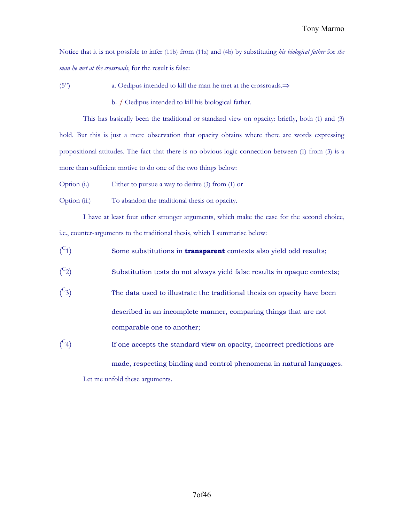Notice that it is not possible to infer (11b) from (11a) and (4b) by substituting *his biological father* for *the man he met at the crossroads*, for the result is false:

(5") a. Oedipus intended to kill the man he met at the crossroads.⇒

b. *ƒ* Oedipus intended to kill his biological father.

This has basically been the traditional or standard view on opacity: briefly, both (1) and (3) hold. But this is just a mere observation that opacity obtains where there are words expressing propositional attitudes. The fact that there is no obvious logic connection between (1) from (3) is a more than sufficient motive to do one of the two things below:

- Option (i.) Either to pursue a way to derive (3) from (1) or
- Option (ii.) To abandon the traditional thesis on opacity.

I have at least four other stronger arguments, which make the case for the second choice, i.e., counter-arguments to the traditional thesis, which I summarise below:

- $\binom{C}{x}$ Some substitutions in **transparent** contexts also yield odd results;
- $\binom{C}{x}$ Substitution tests do not always yield false results in opaque contexts;
- $\binom{C}{x}$ The data used to illustrate the traditional thesis on opacity have been described in an incomplete manner, comparing things that are not comparable one to another;
- $\binom{C}{x}$ If one accepts the standard view on opacity, incorrect predictions are

made, respecting binding and control phenomena in natural languages. Let me unfold these arguments.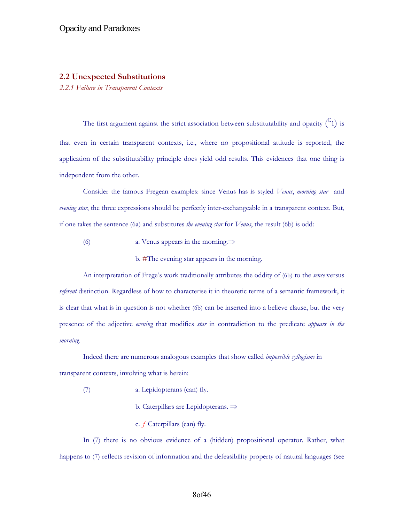#### **2.2 Unexpected Substitutions**

*2.2.1 Failure in Transparent Contexts* 

The first argument against the strict association between substitutability and opacity  $\binom{C_1}{1}$  is that even in certain transparent contexts, i.e., where no propositional attitude is reported, the application of the substitutability principle does yield odd results. This evidences that one thing is independent from the other.

Consider the famous Fregean examples: since Venus has is styled *Venus*, *morning star* and *evening star*, the three expressions should be perfectly inter-exchangeable in a transparent context. But, if one takes the sentence (6a) and substitutes *the evening star* for *Venus*, the result (6b) is odd:

(6) a. Venus appears in the morning.⇒

b. #The evening star appears in the morning.

An interpretation of Frege's work traditionally attributes the oddity of (6b) to the *sense* versus *referent* distinction. Regardless of how to characterise it in theoretic terms of a semantic framework, it is clear that what is in question is not whether (6b) can be inserted into a believe clause, but the very presence of the adjective *evening* that modifies *star* in contradiction to the predicate *appears in the morning*.

Indeed there are numerous analogous examples that show called *impossible syllogisms* in transparent contexts, involving what is herein:

- (7) a. Lepidopterans (can) fly.
	- b. Caterpillars are Lepidopterans. ⇒
	- c. *ƒ* Caterpillars (can) fly.

In (7) there is no obvious evidence of a (hidden) propositional operator. Rather, what happens to  $(7)$  reflects revision of information and the defeasibility property of natural languages (see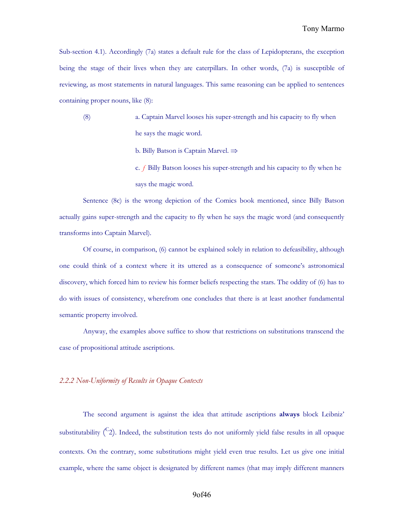Sub-section 4.1). Accordingly (7a) states a default rule for the class of Lepidopterans, the exception being the stage of their lives when they are caterpillars. In other words, (7a) is susceptible of reviewing, as most statements in natural languages. This same reasoning can be applied to sentences containing proper nouns, like (8):

- (8) a. Captain Marvel looses his super-strength and his capacity to fly when he says the magic word.
	- b. Billy Batson is Captain Marvel. ⇒
	- c. *ƒ* Billy Batson looses his super-strength and his capacity to fly when he says the magic word.

Sentence (8c) is the wrong depiction of the Comics book mentioned, since Billy Batson actually gains super-strength and the capacity to fly when he says the magic word (and consequently transforms into Captain Marvel).

Of course, in comparison, (6) cannot be explained solely in relation to defeasibility, although one could think of a context where it its uttered as a consequence of someone's astronomical discovery, which forced him to review his former beliefs respecting the stars. The oddity of (6) has to do with issues of consistency, wherefrom one concludes that there is at least another fundamental semantic property involved.

Anyway, the examples above suffice to show that restrictions on substitutions transcend the case of propositional attitude ascriptions.

*2.2.2 Non-Uniformity of Results in Opaque Contexts* 

The second argument is against the idea that attitude ascriptions **always** block Leibniz' substitutability  $\binom{C_2}{}$ . Indeed, the substitution tests do not uniformly yield false results in all opaque contexts. On the contrary, some substitutions might yield even true results. Let us give one initial example, where the same object is designated by different names (that may imply different manners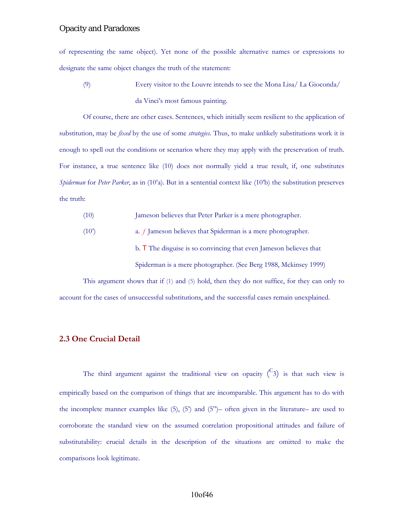of representing the same object). Yet none of the possible alternative names or expressions to designate the same object changes the truth of the statement:

(9) Every visitor to the Louvre intends to see the Mona Lisa/ La Gioconda/ da Vinci's most famous painting.

Of course, there are other cases. Sentences, which initially seem resilient to the application of substitution, may be *fixed* by the use of some *strategies.* Thus, to make unlikely substitutions work it is enough to spell out the conditions or scenarios where they may apply with the preservation of truth. For instance, a true sentence like (10) does not normally yield a true result, if, one substitutes *Spiderman* for *Peter Parker*, as in (10'a). But in a sentential context like (10'b) the substitution preserves the truth:

- (10) Jameson believes that Peter Parker is a mere photographer.
- (10') a. *ƒ* Jameson believes that Spiderman is a mere photographer.

b. T The disguise is so convincing that even Jameson believes that

Spiderman is a mere photographer. (See Berg 1988, Mckinsey 1999)

This argument shows that if (1) and (5) hold, then they do not suffice, for they can only to account for the cases of unsuccessful substitutions, and the successful cases remain unexplained.

## **2.3 One Crucial Detail**

The third argument against the traditional view on opacity  $\binom{C_3}{3}$  is that such view is empirically based on the comparison of things that are incomparable. This argument has to do with the incomplete manner examples like (5), (5') and (5")– often given in the literature– are used to corroborate the standard view on the assumed correlation propositional attitudes and failure of substitutability: crucial details in the description of the situations are omitted to make the comparisons look legitimate.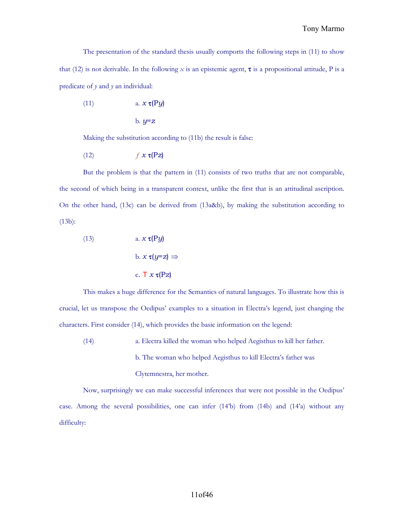### Tony Marmo

The presentation of the standard thesis usually comports the following steps in (11) to show that (12) is not derivable. In the following *x* is an epistemic agent, **τ** is a propositional attitude, P is a predicate of *y* and *y* an individual:

$$
(11) \t\t a. x \tau (Py)
$$

$$
b. y = z
$$

Making the substitution according to (11b) the result is false:

$$
(12) \t\t f \mathbf{x} \tau(Pz)
$$

But the problem is that the pattern in (11) consists of two truths that are not comparable, the second of which being in a transparent context, unlike the first that is an attitudinal ascription. On the other hand, (13c) can be derived from (13a&b), by making the substitution according to (13b):

(13)   
\n
$$
a. x \tau (Py)
$$
\n
$$
b. x \tau (y=z) \Rightarrow
$$
\n
$$
c. \tau x \tau (Pz)
$$

This makes a huge difference for the Semantics of natural languages. To illustrate how this is crucial, let us transpose the Oedipus' examples to a situation in Electra's legend, just changing the characters. First consider (14), which provides the basic information on the legend:

(14) a. Electra killed the woman who helped Aegisthus to kill her father. b. The woman who helped Aegisthus to kill Electra's father was Clytemnestra, her mother.

Now, surprisingly we can make successful inferences that were not possible in the Oedipus' case. Among the several possibilities, one can infer (14'b) from (14b) and (14'a) without any difficulty: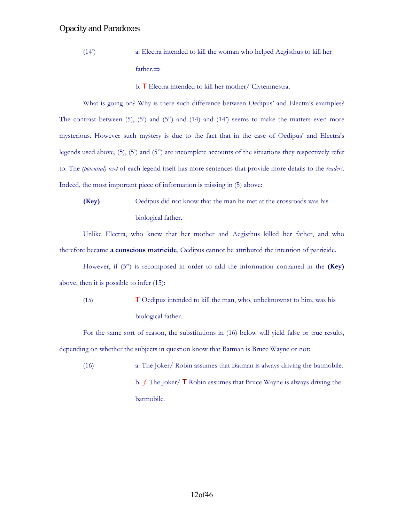(14') a. Electra intended to kill the woman who helped Aegisthus to kill her father.⇒

b. T Electra intended to kill her mother/ Clytemnestra.

What is going on? Why is there such difference between Oedipus' and Electra's examples? The contrast between  $(5)$ ,  $(5')$  and  $(5'')$  and  $(14)$  and  $(14'')$  seems to make the matters even more mysterious. However such mystery is due to the fact that in the case of Oedipus' and Electra's legends used above, (5), (5') and (5") are incomplete accounts of the situations they respectively refer to. The *(potential) text* of each legend itself has more sentences that provide more details to the *readers*. Indeed, the most important piece of information is missing in (5) above:

**(Key)** Oedipus did not know that the man he met at the crossroads was his biological father.

Unlike Electra, who knew that her mother and Aegisthus killed her father, and who therefore became **a conscious matricide**, Oedipus cannot be attributed the intention of parricide.

However, if (5") is recomposed in order to add the information contained in the **(Key)** above, then it is possible to infer (15):

(15) T Oedipus intended to kill the man, who, unbeknownst to him, was his biological father.

For the same sort of reason, the substitutions in (16) below will yield false or true results, depending on whether the subjects in question know that Batman is Bruce Wayne or not:

(16) a. The Joker/ Robin assumes that Batman is always driving the batmobile. b. *ƒ* The Joker/ T Robin assumes that Bruce Wayne is always driving the batmobile.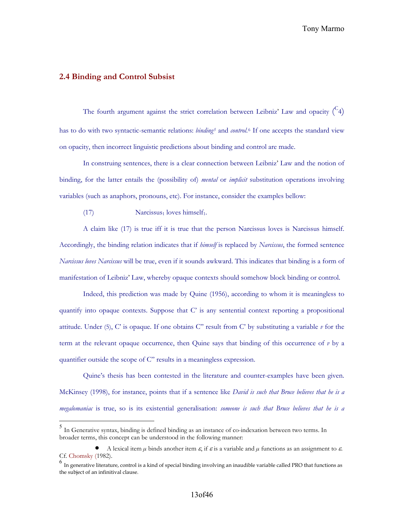## **2.4 Binding and Control Subsist**

 $\overline{a}$ 

The fourth argument against the strict correlation between Leibniz' Law and opacity  $\binom{C_4}{A}$ has to do with two syntactic-semantic relations: *binding[5](#page-12-0)* and *control*.[6](#page-12-1) If one accepts the standard view on opacity, then incorrect linguistic predictions about binding and control are made.

In construing sentences, there is a clear connection between Leibniz' Law and the notion of binding, for the latter entails the (possibility of) *mental* or *implicit* substitution operations involving variables (such as anaphors, pronouns, etc). For instance, consider the examples bellow:

 $(17)$  Narcissus<sub>1</sub> loves himself<sub>1</sub>.

A claim like (17) is true iff it is true that the person Narcissus loves is Narcissus himself. Accordingly, the binding relation indicates that if *himself* is replaced by *Narcissus*, the formed sentence *Narcissus loves Narcissus* will be true, even if it sounds awkward. This indicates that binding is a form of manifestation of Leibniz' Law, whereby opaque contexts should somehow block binding or control.

Indeed, this prediction was made by Quine (1956), according to whom it is meaningless to quantify into opaque contexts. Suppose that C' is any sentential context reporting a propositional attitude. Under (5), C' is opaque. If one obtains C" result from C' by substituting a variable *v* for the term at the relevant opaque occurrence, then Quine says that binding of this occurrence of *v* by a quantifier outside the scope of C" results in a meaningless expression.

Quine's thesis has been contested in the literature and counter-examples have been given. McKinsey (1998), for instance, points that if a sentence like *David is such that Bruce believes that he is a megalomaniac* is true, so is its existential generalisation: *someone is such that Bruce believes that he is a* 

<span id="page-12-0"></span><sup>5</sup> In Generative syntax, binding is defined binding as an instance of co-indexation between two terms. In broader terms, this concept can be understood in the following manner:

<sup>•</sup> A lexical item  $\mu$  binds another item  $\varepsilon$ , if  $\varepsilon$  is a variable and  $\mu$  functions as an assignment to  $\varepsilon$ . Cf. Chomsky (1982).

<span id="page-12-1"></span> $<sup>6</sup>$  In generative literature, control is a kind of special binding involving an inaudible variable called PRO that functions as</sup> the subject of an infinitival clause.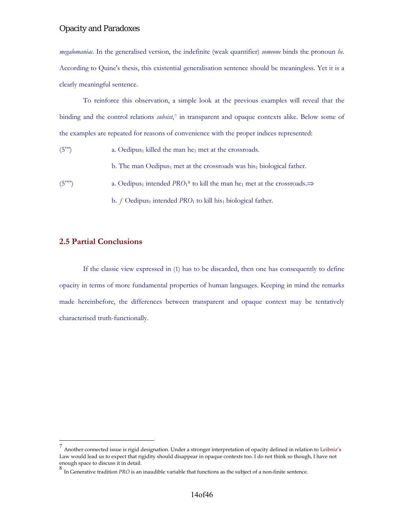*megalomaniac.* In the generalised version, the indefinite (weak quantifier) *someone* binds the pronoun *he*. According to Quine's thesis, this existential generalisation sentence should be meaningless. Yet it is a clearly meaningful sentence.

To reinforce this observation, a simple look at the previous examples will reveal that the binding and the control relations *subsist*,[7](#page-13-0) in transparent and opaque contexts alike. Below some of the examples are repeated for reasons of convenience with the proper indices represented:

 $(5")$  a. Oedipus<sub>1</sub> killed the man he<sub>1</sub> met at the crossroads.

b. The man Oedipus<sub>1</sub> met at the crossroads was his<sub>1</sub> biological father.

(5<sup>"")</sup> a. Oedipus<sub>1</sub> intended *PRO*<sub>1</sub><sup>[8](#page-13-1)</sup> to kill the man he<sub>1</sub> met at the crossroads.⇒

b. *f* Oedipus<sub>1</sub> intended *PRO*<sub>1</sub> to kill his biological father.

## **2.5 Partial Conclusions**

 $\overline{a}$ 

If the classic view expressed in (1) has to be discarded, then one has consequently to define opacity in terms of more fundamental properties of human languages. Keeping in mind the remarks made hereinbefore, the differences between transparent and opaque context may be tentatively characterised truth-functionally.

<span id="page-13-0"></span><sup>&</sup>lt;sup>7</sup> Another connected issue is rigid designation. Under a stronger interpretation of opacity defined in relation to Leibniz's Law would lead us to expect that rigidity should disappear in opaque contexts too. I do not think so though, I have not enough space to discuss it in detail.

<span id="page-13-1"></span><sup>8</sup> In Generative tradition *PRO* is an inaudible variable that functions as the subject of a non-finite sentence.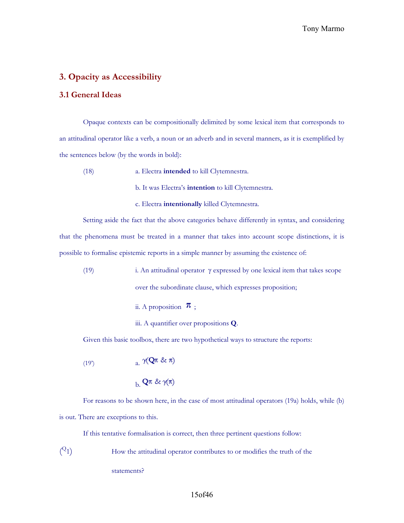## **3. Opacity as Accessibility**

## **3.1 General Ideas**

Opaque contexts can be compositionally delimited by some lexical item that corresponds to an attitudinal operator like a verb, a noun or an adverb and in several manners, as it is exemplified by the sentences below (by the words in bold):

- (18) a. Electra **intended** to kill Clytemnestra.
	- b. It was Electra's **intention** to kill Clytemnestra.
	- c. Electra **intentionally** killed Clytemnestra.

Setting aside the fact that the above categories behave differently in syntax, and considering that the phenomena must be treated in a manner that takes into account scope distinctions, it is possible to formalise epistemic reports in a simple manner by assuming the existence of:

- (19) i. An attitudinal operator γ expressed by one lexical item that takes scope over the subordinate clause, which expresses proposition;
	- ii. A proposition  $\pi$ ;
	- iii. A quantifier over propositions **Q**.

Given this basic toolbox, there are two hypothetical ways to structure the reports:

(19)  
\n
$$
a. \ \mathcal{N}(\mathbf{Q}\pi \ \& \ \pi)
$$
\n
$$
b. \ \mathbf{Q}\pi \ \& \ \mathcal{N}(\pi)
$$

For reasons to be shown here, in the case of most attitudinal operators (19a) holds, while (b) is out. There are exceptions to this.

If this tentative formalisation is correct, then three pertinent questions follow:

 $(2_1)$ How the attitudinal operator contributes to or modifies the truth of the statements?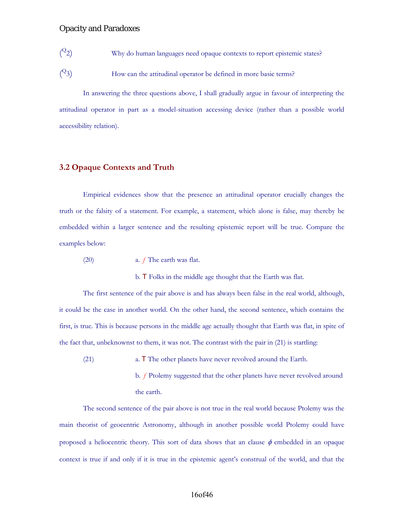- $(^{Q_2})$ Why do human languages need opaque contexts to report epistemic states?
- $(2)$ How can the attitudinal operator be defined in more basic terms?

In answering the three questions above, I shall gradually argue in favour of interpreting the attitudinal operator in part as a model-situation accessing device (rather than a possible world accessibility relation).

## **3.2 Opaque Contexts and Truth**

Empirical evidences show that the presence an attitudinal operator crucially changes the truth or the falsity of a statement. For example, a statement, which alone is false, may thereby be embedded within a larger sentence and the resulting epistemic report will be true. Compare the examples below:

(20) a. *ƒ* The earth was flat.

b. T Folks in the middle age thought that the Earth was flat.

The first sentence of the pair above is and has always been false in the real world, although, it could be the case in another world. On the other hand, the second sentence, which contains the first, is true. This is because persons in the middle age actually thought that Earth was flat, in spite of the fact that, unbeknownst to them, it was not. The contrast with the pair in (21) is startling:

- (21) a. T The other planets have never revolved around the Earth.
	- b. *ƒ* Ptolemy suggested that the other planets have never revolved around the earth.

The second sentence of the pair above is not true in the real world because Ptolemy was the main theorist of geocentric Astronomy, although in another possible world Ptolemy could have proposed a heliocentric theory. This sort of data shows that an clause  $\phi$  embedded in an opaque context is true if and only if it is true in the epistemic agent's construal of the world, and that the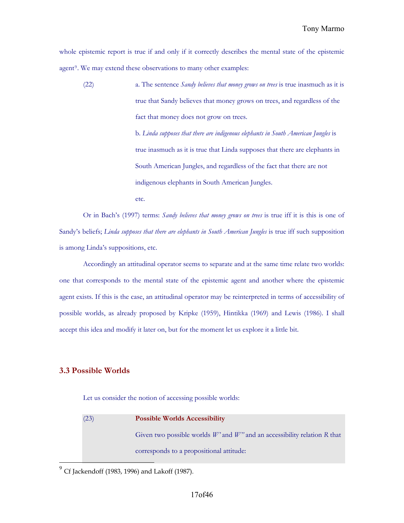Tony Marmo

whole epistemic report is true if and only if it correctly describes the mental state of the epistemic agent<sup>[9](#page-16-0)</sup>. We may extend these observations to many other examples:

(22) a. The sentence *Sandy believes that money grows on trees* is true inasmuch as it is true that Sandy believes that money grows on trees, and regardless of the fact that money does not grow on trees. b. *Linda supposes that there are indigenous elephants in South American Jungles* is true inasmuch as it is true that Linda supposes that there are elephants in South American Jungles, and regardless of the fact that there are not indigenous elephants in South American Jungles. etc.

Or in Bach's (1997) terms: *Sandy believes that money grows on trees* is true iff it is this is one of Sandy's beliefs; *Linda supposes that there are elephants in South American Jungles* is true iff such supposition is among Linda's suppositions, etc.

Accordingly an attitudinal operator seems to separate and at the same time relate two worlds: one that corresponds to the mental state of the epistemic agent and another where the epistemic agent exists. If this is the case, an attitudinal operator may be reinterpreted in terms of accessibility of possible worlds, as already proposed by Kripke (1959), Hintikka (1969) and Lewis (1986). I shall accept this idea and modify it later on, but for the moment let us explore it a little bit.

## **3.3 Possible Worlds**

 $\overline{a}$ 

Let us consider the notion of accessing possible worlds:

| (23) | <b>Possible Worlds Accessibility</b>                                          |
|------|-------------------------------------------------------------------------------|
|      | Given two possible worlds $W'$ and $W''$ and an accessibility relation R that |
|      | corresponds to a propositional attitude:                                      |

<span id="page-16-0"></span> $^{9}$  Cf Jackendoff (1983, 1996) and Lakoff (1987).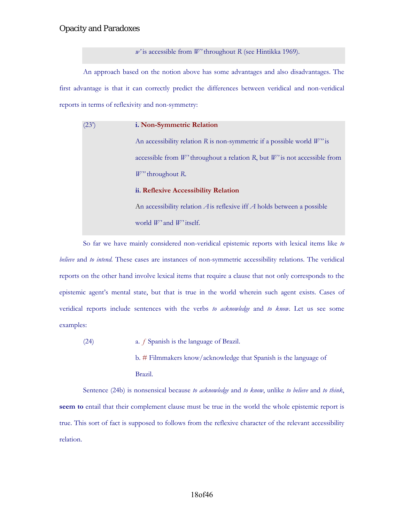*w'* is accessible from *W'* throughout *R* (see Hintikka 1969).

An approach based on the notion above has some advantages and also disadvantages. The first advantage is that it can correctly predict the differences between veridical and non-veridical reports in terms of reflexivity and non-symmetry:

| (23) | i. Non-Symmetric Relation                                                   |
|------|-----------------------------------------------------------------------------|
|      | An accessibility relation R is non-symmetric if a possible world $W''$ is   |
|      | accessible from $W$ throughout a relation R, but $W$ is not accessible from |
|      | $W''$ throughout R.                                                         |
|      | ii. Reflexive Accessibility Relation                                        |
|      | An accessibility relation $A$ is reflexive iff $A$ holds between a possible |
|      | world $W'$ and $W'$ itself.                                                 |

So far we have mainly considered non-veridical epistemic reports with lexical items like *to believe* and *to intend.* These cases are instances of non-symmetric accessibility relations. The veridical reports on the other hand involve lexical items that require a clause that not only corresponds to the epistemic agent's mental state, but that is true in the world wherein such agent exists. Cases of veridical reports include sentences with the verbs *to acknowledge* and *to know*. Let us see some examples:

(24) a. *ƒ* Spanish is the language of Brazil. b. # Filmmakers know/acknowledge that Spanish is the language of Brazil.

Sentence (24b) is nonsensical because *to acknowledge* and *to know*, unlike *to believe* and *to think*, **seem to** entail that their complement clause must be true in the world the whole epistemic report is true. This sort of fact is supposed to follows from the reflexive character of the relevant accessibility relation.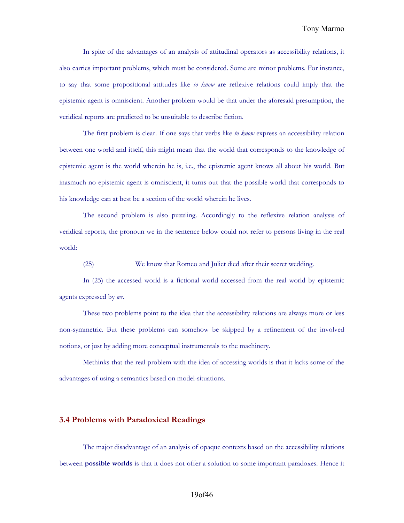In spite of the advantages of an analysis of attitudinal operators as accessibility relations, it also carries important problems, which must be considered. Some are minor problems. For instance, to say that some propositional attitudes like *to know* are reflexive relations could imply that the epistemic agent is omniscient. Another problem would be that under the aforesaid presumption, the veridical reports are predicted to be unsuitable to describe fiction.

The first problem is clear. If one says that verbs like *to know* express an accessibility relation between one world and itself, this might mean that the world that corresponds to the knowledge of epistemic agent is the world wherein he is, i.e., the epistemic agent knows all about his world. But inasmuch no epistemic agent is omniscient, it turns out that the possible world that corresponds to his knowledge can at best be a section of the world wherein he lives.

The second problem is also puzzling. Accordingly to the reflexive relation analysis of veridical reports, the pronoun we in the sentence below could not refer to persons living in the real world:

(25) We know that Romeo and Juliet died after their secret wedding.

In (25) the accessed world is a fictional world accessed from the real world by epistemic agents expressed by *we*.

These two problems point to the idea that the accessibility relations are always more or less non-symmetric. But these problems can somehow be skipped by a refinement of the involved notions, or just by adding more conceptual instrumentals to the machinery.

Methinks that the real problem with the idea of accessing worlds is that it lacks some of the advantages of using a semantics based on model-situations.

#### **3.4 Problems with Paradoxical Readings**

The major disadvantage of an analysis of opaque contexts based on the accessibility relations between **possible worlds** is that it does not offer a solution to some important paradoxes. Hence it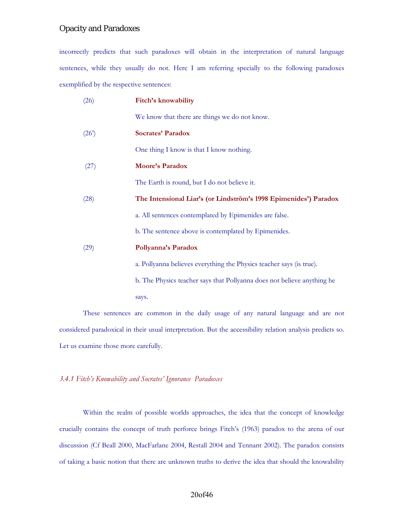incorrectly predicts that such paradoxes will obtain in the interpretation of natural language sentences, while they usually do not. Here I am referring specially to the following paradoxes exemplified by the respective sentences:

| (26) | Fitch's knowability                                                     |
|------|-------------------------------------------------------------------------|
|      | We know that there are things we do not know.                           |
| (26) | <b>Socrates' Paradox</b>                                                |
|      | One thing I know is that I know nothing.                                |
| (27) | <b>Moore's Paradox</b>                                                  |
|      | The Earth is round, but I do not believe it.                            |
| (28) | The Intensional Liar's (or Lindström's 1998 Epimenides') Paradox        |
|      | a. All sentences contemplated by Epimenides are false.                  |
|      | b. The sentence above is contemplated by Epimenides.                    |
| (29) | Pollyanna's Paradox                                                     |
|      | a. Pollyanna believes everything the Physics teacher says (is true).    |
|      | b. The Physics teacher says that Pollyanna does not believe anything he |
|      | says.                                                                   |
|      |                                                                         |

These sentences are common in the daily usage of any natural language and are not considered paradoxical in their usual interpretation. But the accessibility relation analysis predicts so. Let us examine those more carefully.

## *3.4.1 Fitch's Knowability and Socrates' Ignorance Paradoxes*

Within the realm of possible worlds approaches, the idea that the concept of knowledge crucially contains the concept of truth perforce brings Fitch's (1963) paradox to the arena of our discussion (Cf Beall 2000, MacFarlane 2004, Restall 2004 and Tennant 2002). The paradox consists of taking a basic notion that there are unknown truths to derive the idea that should the knowability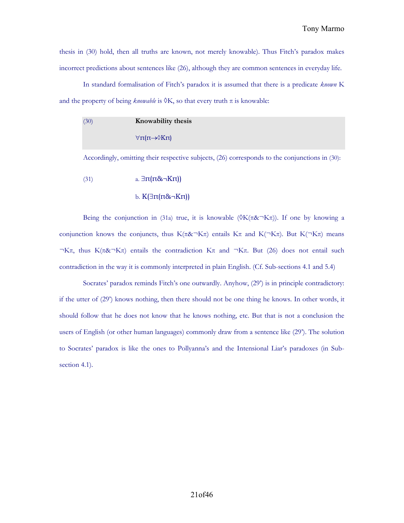thesis in (30) hold, then all truths are known, not merely knowable). Thus Fitch's paradox makes incorrect predictions about sentences like (26), although they are common sentences in everyday life.

In standard formalisation of Fitch's paradox it is assumed that there is a predicate *known* K and the property of being *knowable* is  $\delta K$ , so that every truth  $\pi$  is knowable:

```
(30) Knowability thesis
    \forallπ(π→\DiamondKπ)
```
Accordingly, omitting their respective subjects, (26) corresponds to the conjunctions in (30):

(31)  $a. \exists \pi(\pi \& \neg K\pi)$ 

$$
b. K(\exists \pi(\pi \& \neg K\pi))
$$

Being the conjunction in (31a) true, it is knowable  $(\delta K(\pi \& \neg K\pi))$ . If one by knowing a conjunction knows the conjuncts, thus K( $\pi \& \neg K\pi$ ) entails K $\pi$  and K( $\neg K\pi$ ). But K( $\neg K\pi$ ) means  $\neg K\pi$ , thus K( $\pi$ & $\neg K\pi$ ) entails the contradiction K $\pi$  and  $\neg K\pi$ . But (26) does not entail such contradiction in the way it is commonly interpreted in plain English. (Cf. Sub-sections 4.1 and 5.4)

Socrates' paradox reminds Fitch's one outwardly. Anyhow, (29') is in principle contradictory: if the utter of (29') knows nothing, then there should not be one thing he knows. In other words, it should follow that he does not know that he knows nothing, etc. But that is not a conclusion the users of English (or other human languages) commonly draw from a sentence like (29'). The solution to Socrates' paradox is like the ones to Pollyanna's and the Intensional Liar's paradoxes (in Subsection 4.1).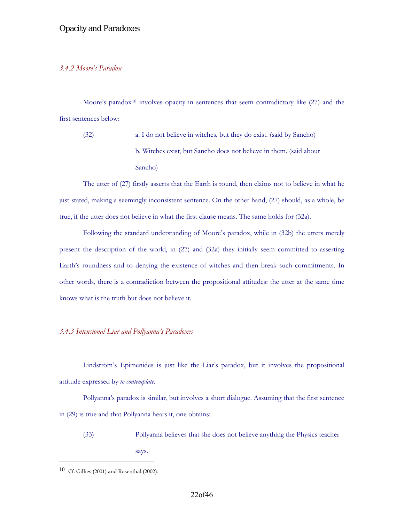#### *3.4.2 Moore's Paradox*

Moore's paradox<sup>[10](#page-21-0)</sup> involves opacity in sentences that seem contradictory like  $(27)$  and the first sentences below:

(32) a. I do not believe in witches, but they do exist. (said by Sancho) b. Witches exist, but Sancho does not believe in them. (said about Sancho)

The utter of (27) firstly asserts that the Earth is round, then claims not to believe in what he just stated, making a seemingly inconsistent sentence. On the other hand, (27) should, as a whole, be true, if the utter does not believe in what the first clause means. The same holds for (32a).

Following the standard understanding of Moore's paradox, while in (32b) the utters merely present the description of the world, in (27) and (32a) they initially seem committed to asserting Earth's roundness and to denying the existence of witches and then break such commitments. In other words, there is a contradiction between the propositional attitudes: the utter at the same time knows what is the truth but does not believe it.

## *3.4.3 Intensional Liar and Pollyanna's Paradoxes*

Lindström's Epimenides is just like the Liar's paradox, but it involves the propositional attitude expressed by *to contemplate*.

Pollyanna's paradox is similar, but involves a short dialogue. Assuming that the first sentence in (29) is true and that Pollyanna hears it, one obtains:

(33) Pollyanna believes that she does not believe anything the Physics teacher says.

 $\overline{a}$ 

<span id="page-21-0"></span> $10$  Cf. Gillies (2001) and Rosenthal (2002).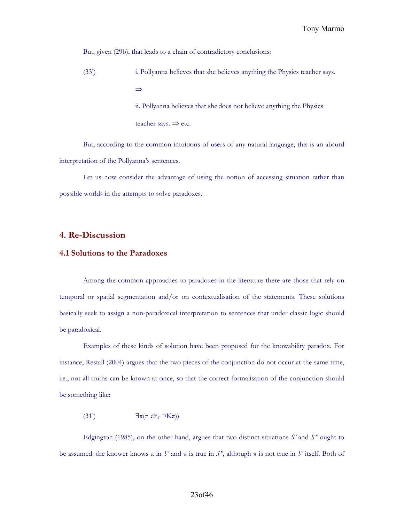But, given (29b), that leads to a chain of contradictory conclusions:

(33') i. Pollyanna believes that she believes anything the Physics teacher says. ⇒ ii. Pollyanna believes that she does not believe anything the Physics

teacher says.  $\Rightarrow$  etc.

But, according to the common intuitions of users of any natural language, this is an absurd interpretation of the Pollyanna's sentences.

Let us now consider the advantage of using the notion of accessing situation rather than possible worlds in the attempts to solve paradoxes.

#### **4. Re-Discussion**

### **4.1 Solutions to the Paradoxes**

Among the common approaches to paradoxes in the literature there are those that rely on temporal or spatial segmentation and/or on contextualisation of the statements. These solutions basically seek to assign a non-paradoxical interpretation to sentences that under classic logic should be paradoxical.

Examples of these kinds of solution have been proposed for the knowability paradox. For instance, Restall (2004) argues that the two pieces of the conjunction do not occur at the same time, i.e., not all truths can be known at once, so that the correct formalisation of the conjunction should be something like:

(31<sup>'</sup>)  $\exists \pi (\pi \mathcal{O}_T \neg K\pi)$ 

Edgington (1985), on the other hand, argues that two distinct situations  $S'$  and  $S''$  ought to be assumed: the knower knows  $\pi$  in *S'* and  $\pi$  is true in *S'*, although  $\pi$  is not true in *S'* itself. Both of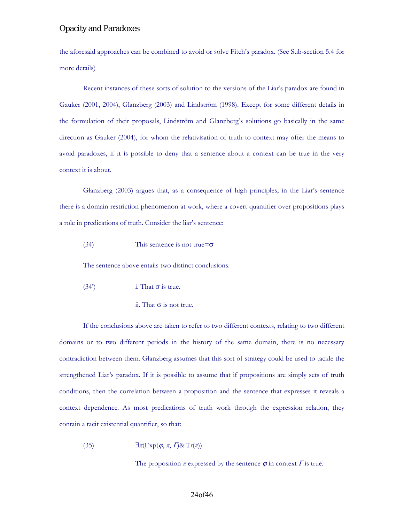the aforesaid approaches can be combined to avoid or solve Fitch's paradox. (See Sub-section 5.4 for more details)

Recent instances of these sorts of solution to the versions of the Liar's paradox are found in Gauker (2001, 2004), Glanzberg (2003) and Lindström (1998). Except for some different details in the formulation of their proposals, Lindström and Glanzberg's solutions go basically in the same direction as Gauker (2004), for whom the relativisation of truth to context may offer the means to avoid paradoxes, if it is possible to deny that a sentence about a context can be true in the very context it is about.

Glanzberg (2003) argues that, as a consequence of high principles, in the Liar's sentence there is a domain restriction phenomenon at work, where a covert quantifier over propositions plays a role in predications of truth. Consider the liar's sentence:

#### (34) This sentence is not true= $\sigma$

The sentence above entails two distinct conclusions:

- (34<sup>'</sup>) i. That  $\sigma$  is true.
	- ii. That  $\sigma$  is not true.

If the conclusions above are taken to refer to two different contexts, relating to two different domains or to two different periods in the history of the same domain, there is no necessary contradiction between them. Glanzberg assumes that this sort of strategy could be used to tackle the strengthened Liar's paradox. If it is possible to assume that if propositions are simply sets of truth conditions, then the correlation between a proposition and the sentence that expresses it reveals a context dependence. As most predications of truth work through the expression relation, they contain a tacit existential quantifier, so that:

(35) 
$$
\exists \pi (\text{Exp}(\varphi, \pi, \Gamma) \& \text{Tr}(\pi))
$$

The proposition  $\pi$  expressed by the sentence  $\varphi$  in context  $\Gamma$  is true.

#### 24of46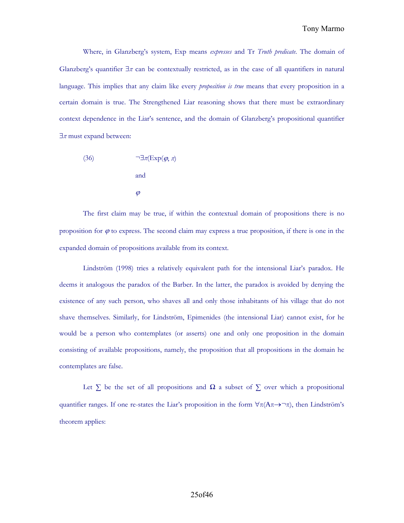Where, in Glanzberg's system, Exp means *expresses* and Tr *Truth predicate*. The domain of Glanzberg's quantifier ∃*π* can be contextually restricted, as in the case of all quantifiers in natural language. This implies that any claim like every *proposition is true* means that every proposition in a certain domain is true. The Strengthened Liar reasoning shows that there must be extraordinary context dependence in the Liar's sentence, and the domain of Glanzberg's propositional quantifier ∃*π* must expand between:

(36) 
$$
\neg \exists \pi (\text{Exp}(\varphi, \pi))
$$
  
and  

$$
\varphi
$$

The first claim may be true, if within the contextual domain of propositions there is no proposition for  $\varphi$  to express. The second claim may express a true proposition, if there is one in the expanded domain of propositions available from its context.

Lindström (1998) tries a relatively equivalent path for the intensional Liar's paradox. He deems it analogous the paradox of the Barber. In the latter, the paradox is avoided by denying the existence of any such person, who shaves all and only those inhabitants of his village that do not shave themselves. Similarly, for Lindström, Epimenides (the intensional Liar) cannot exist, for he would be a person who contemplates (or asserts) one and only one proposition in the domain consisting of available propositions, namely, the proposition that all propositions in the domain he contemplates are false.

Let *∑* be the set of all propositions and *Ω* a subset of *∑* over which a propositional quantifier ranges. If one re-states the Liar's proposition in the form  $\forall \pi (A \pi \rightarrow \neg \pi)$ , then Lindström's theorem applies: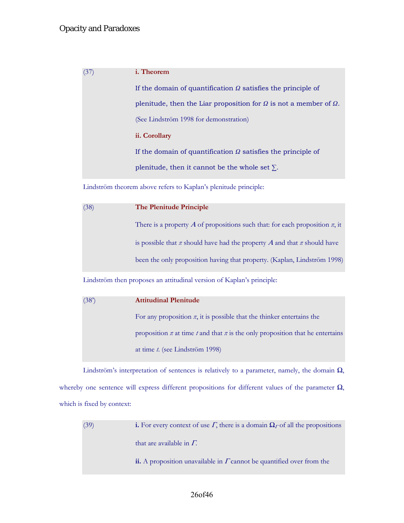| (37) | <i>i</i> . Theorem                                                              |
|------|---------------------------------------------------------------------------------|
|      | If the domain of quantification $\Omega$ satisfies the principle of             |
|      | plenitude, then the Liar proposition for $\Omega$ is not a member of $\Omega$ . |
|      | (See Lindström 1998 for demonstration)                                          |
|      | ii. Corollary                                                                   |
|      | If the domain of quantification $\Omega$ satisfies the principle of             |
|      | plenitude, then it cannot be the whole set $\Sigma$ .                           |
|      |                                                                                 |

Lindström theorem above refers to Kaplan's plenitude principle:

| (38) | <b>The Plenitude Principle</b>                                                   |
|------|----------------------------------------------------------------------------------|
|      | There is a property A of propositions such that: for each proposition $\pi$ , it |
|      | is possible that $\pi$ should have had the property A and that $\pi$ should have |
|      | been the only proposition having that property. (Kaplan, Lindström 1998)         |

Lindström then proposes an attitudinal version of Kaplan's principle:

| (38) | <b>Attitudinal Plenitude</b>                                                            |
|------|-----------------------------------------------------------------------------------------|
|      | For any proposition $\pi$ , it is possible that the thinker entertains the              |
|      | proposition $\pi$ at time $t$ and that $\pi$ is the only proposition that he entertains |
|      | at time <i>t</i> . (see Lindström 1998)                                                 |

Lindström's interpretation of sentences is relatively to a parameter, namely, the domain *Ω*, whereby one sentence will express different propositions for different values of the parameter *Ω*, which is fixed by context:

| (39) | <b>i.</b> For every context of use $\Gamma$ , there is a domain $\Omega_{\Gamma}$ of all the propositions |
|------|-----------------------------------------------------------------------------------------------------------|
|      | that are available in $\Gamma$ .                                                                          |
|      | ii. A proposition unavailable in $\Gamma$ cannot be quantified over from the                              |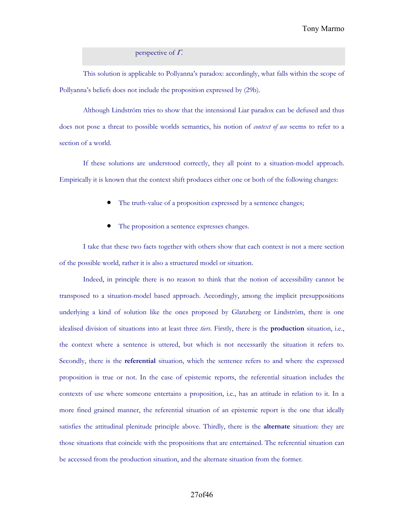perspective of  $\Gamma$ .

This solution is applicable to Pollyanna's paradox: accordingly, what falls within the scope of Pollyanna's beliefs does not include the proposition expressed by (29b).

Although Lindström tries to show that the intensional Liar paradox can be defused and thus does not pose a threat to possible worlds semantics, his notion of *context of use* seems to refer to a section of a world.

If these solutions are understood correctly, they all point to a situation-model approach. Empirically it is known that the context shift produces either one or both of the following changes:

- The truth-value of a proposition expressed by a sentence changes;
- The proposition a sentence expresses changes.

I take that these two facts together with others show that each context is not a mere section of the possible world, rather it is also a structured model or situation.

Indeed, in principle there is no reason to think that the notion of accessibility cannot be transposed to a situation-model based approach. Accordingly, among the implicit presuppositions underlying a kind of solution like the ones proposed by Glanzberg or Lindström, there is one idealised division of situations into at least three *tiers*. Firstly, there is the **production** situation, i.e., the context where a sentence is uttered, but which is not necessarily the situation it refers to. Secondly, there is the **referential** situation, which the sentence refers to and where the expressed proposition is true or not. In the case of epistemic reports, the referential situation includes the contexts of use where someone entertains a proposition, i.e., has an attitude in relation to it. In a more fined grained manner, the referential situation of an epistemic report is the one that ideally satisfies the attitudinal plenitude principle above. Thirdly, there is the **alternate** situation: they are those situations that coincide with the propositions that are entertained. The referential situation can be accessed from the production situation, and the alternate situation from the former.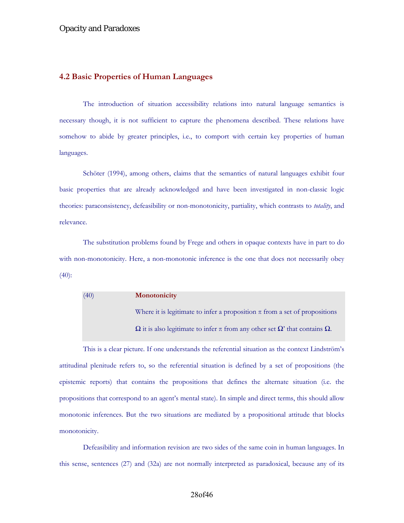## **4.2 Basic Properties of Human Languages**

The introduction of situation accessibility relations into natural language semantics is necessary though, it is not sufficient to capture the phenomena described. These relations have somehow to abide by greater principles, i.e., to comport with certain key properties of human languages.

Schöter (1994), among others, claims that the semantics of natural languages exhibit four basic properties that are already acknowledged and have been investigated in non-classic logic theories: paraconsistency, defeasibility or non-monotonicity, partiality, which contrasts to *totality*, and relevance.

The substitution problems found by Frege and others in opaque contexts have in part to do with non-monotonicity. Here, a non-monotonic inference is the one that does not necessarily obey (40):

(40) **Monotonicity** Where it is legitimate to infer a proposition  $\pi$  from a set of propositions  $\Omega$  it is also legitimate to infer π from any other set  $\Omega'$  that contains  $\Omega$ .

This is a clear picture. If one understands the referential situation as the context Lindström's attitudinal plenitude refers to, so the referential situation is defined by a set of propositions (the epistemic reports) that contains the propositions that defines the alternate situation (i.e. the propositions that correspond to an agent's mental state). In simple and direct terms, this should allow monotonic inferences. But the two situations are mediated by a propositional attitude that blocks monotonicity.

Defeasibility and information revision are two sides of the same coin in human languages. In this sense, sentences (27) and (32a) are not normally interpreted as paradoxical, because any of its

#### 28of46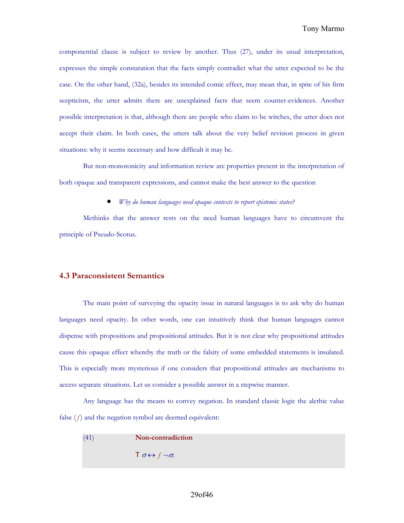componential clause is subject to review by another. Thus (27), under its usual interpretation, expresses the simple constatation that the facts simply contradict what the utter expected to be the case. On the other hand, (32a), besides its intended comic effect, may mean that, in spite of his firm scepticism, the utter admits there are unexplained facts that seem counter-evidences. Another possible interpretation is that, although there are people who claim to be witches, the utter does not accept their claim. In both cases, the utters talk about the very belief revision process in given situations: why it seems necessary and how difficult it may be.

But non-monotonicity and information review are properties present in the interpretation of both opaque and transparent expressions, and cannot make the best answer to the question

• *Why do human languages need opaque contexts to report epistemic states?* 

Methinks that the answer rests on the need human languages have to circumvent the principle of Pseudo-Scotus.

## **4.3 Paraconsistent Semantics**

The main point of surveying the opacity issue in natural languages is to ask why do human languages need opacity. In other words, one can intuitively think that human languages cannot dispense with propositions and propositional attitudes. But it is not clear why propositional attitudes cause this opaque effect whereby the truth or the falsity of some embedded statements is insulated. This is especially more mysterious if one considers that propositional attitudes are mechanisms to access separate situations. Let us consider a possible answer in a stepwise manner.

Any language has the means to convey negation. In standard classic logic the alethic value false  $(f)$  and the negation symbol are deemed equivalent:

| (41) | Non-contradiction                                  |
|------|----------------------------------------------------|
|      | $\mathsf{T} \sigma \leftrightarrow f \neg \sigma.$ |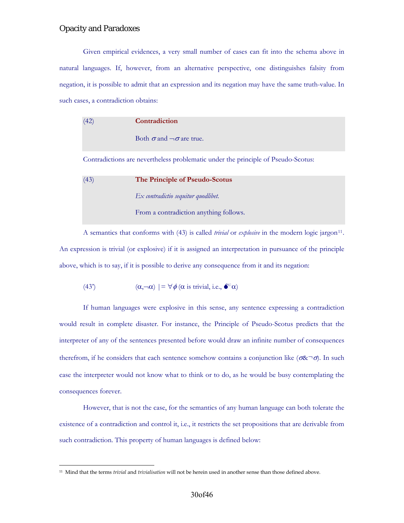$\overline{a}$ 

Given empirical evidences, a very small number of cases can fit into the schema above in natural languages. If, however, from an alternative perspective, one distinguishes falsity from negation, it is possible to admit that an expression and its negation may have the same truth-value. In such cases, a contradiction obtains:

| (42) | Contradiction                                                                     |
|------|-----------------------------------------------------------------------------------|
|      | Both $\sigma$ and $\neg \sigma$ are true.                                         |
|      | Contradictions are nevertheless problematic under the principle of Pseudo-Scotus: |
| (43) | The Principle of Pseudo-Scotus                                                    |
|      | $Ex$ contradictio sequitur quodlibet.                                             |
|      | From a contradiction anything follows.                                            |

A semantics that conforms with (43) is called *trivial* or *explosive* in the modern logic jargon<sup>[11](#page-29-0)</sup>. An expression is trivial (or explosive) if it is assigned an interpretation in pursuance of the principle above, which is to say, if it is possible to derive any consequence from it and its negation:

(43') 
$$
(\alpha, \neg \alpha) \models \forall \phi \text{ (}\alpha \text{ is trivial, i.e., } \bullet^* \alpha)
$$

If human languages were explosive in this sense, any sentence expressing a contradiction would result in complete disaster. For instance, the Principle of Pseudo-Scotus predicts that the interpreter of any of the sentences presented before would draw an infinite number of consequences therefrom, if he considers that each sentence somehow contains a conjunction like ( $\sigma \& \neg \sigma$ ). In such case the interpreter would not know what to think or to do, as he would be busy contemplating the consequences forever.

However, that is not the case, for the semantics of any human language can both tolerate the existence of a contradiction and control it, i.e., it restricts the set propositions that are derivable from such contradiction. This property of human languages is defined below:

<span id="page-29-0"></span><sup>11</sup> Mind that the terms *trivial* and *trivialisation* will not be herein used in another sense than those defined above.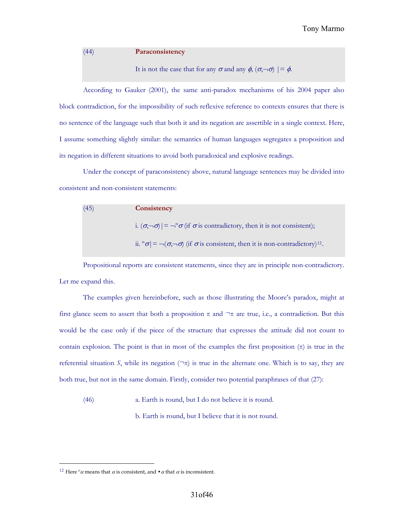(44) **Paraconsistency**

## It is not the case that for any  $\sigma$  and any  $\phi$ ,  $(\sigma, \neg \sigma)$  |=  $\phi$ .

According to Gauker (2001), the same anti-paradox mechanisms of his 2004 paper also block contradiction, for the impossibility of such reflexive reference to contexts ensures that there is no sentence of the language such that both it and its negation are assertible in a single context. Here, I assume something slightly similar: the semantics of human languages segregates a proposition and its negation in different situations to avoid both paradoxical and explosive readings.

Under the concept of paraconsistency above, natural language sentences may be divided into consistent and non-consistent statements:

| (45) | Consistency                                                                                                        |
|------|--------------------------------------------------------------------------------------------------------------------|
|      | i. $(\sigma, \neg \sigma)$ = $\neg^{\circ} \sigma$ (if $\sigma$ is contradictory, then it is not consistent);      |
|      | ii. $\sigma = \neg(\sigma, \neg \sigma)$ (if $\sigma$ is consistent, then it is non-contradictory) <sup>12</sup> . |

Propositional reports are consistent statements, since they are in principle non-contradictory. Let me expand this.

The examples given hereinbefore, such as those illustrating the Moore's paradox, might at first glance seem to assert that both a proposition  $\pi$  and  $\neg$ π are true, i.e., a contradiction. But this would be the case only if the piece of the structure that expresses the attitude did not count to contain explosion. The point is that in most of the examples the first proposition  $(\pi)$  is true in the referential situation *S*, while its negation ( $\neg \pi$ ) is true in the alternate one. Which is to say, they are both true, but not in the same domain. Firstly, consider two potential paraphrases of that (27):

(46) a. Earth is round, but I do not believe it is round.

b. Earth is round, but I believe that it is not round.

 $\overline{a}$ 

<span id="page-30-0"></span><sup>&</sup>lt;sup>12</sup> Here <sup>o</sup> $\alpha$  means that  $\alpha$  is consistent, and  $\cdot$   $\alpha$  that  $\alpha$  is inconsistent.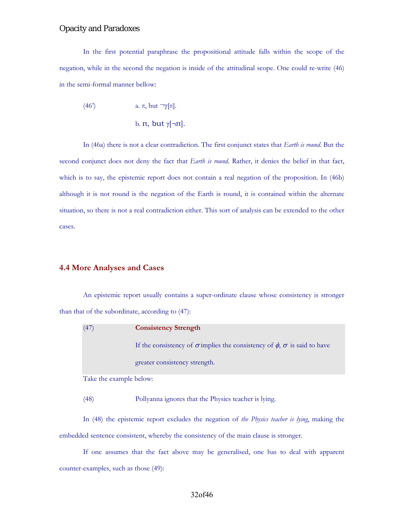In the first potential paraphrase the propositional attitude falls within the scope of the negation, while in the second the negation is inside of the attitudinal scope. One could re-write (46) in the semi-formal manner bellow:

(46') a. 
$$
\pi
$$
, but  $\neg \gamma[\pi]$ .  
b.  $\pi$ , but  $\gamma[\neg \pi]$ .

In (46a) there is not a clear contradiction. The first conjunct states that *Earth is round*. But the second conjunct does not deny the fact that *Earth is round*. Rather, it denies the belief in that fact, which is to say, the epistemic report does not contain a real negation of the proposition. In (46b) although it is not round is the negation of the Earth is round, it is contained within the alternate situation, so there is not a real contradiction either. This sort of analysis can be extended to the other cases.

#### **4.4 More Analyses and Cases**

An epistemic report usually contains a super-ordinate clause whose consistency is stronger than that of the subordinate, according to (47):

| (47)                    | <b>Consistency Strength</b>                                                                 |
|-------------------------|---------------------------------------------------------------------------------------------|
|                         | If the consistency of $\sigma$ implies the consistency of $\phi$ , $\sigma$ is said to have |
|                         | greater consistency strength.                                                               |
| Take the example below: |                                                                                             |

(48) Pollyanna ignores that the Physics teacher is lying.

In (48) the epistemic report excludes the negation of *the Physics teacher is lying*, making the embedded sentence consistent, whereby the consistency of the main clause is stronger.

If one assumes that the fact above may be generalised, one has to deal with apparent counter-examples, such as those (49):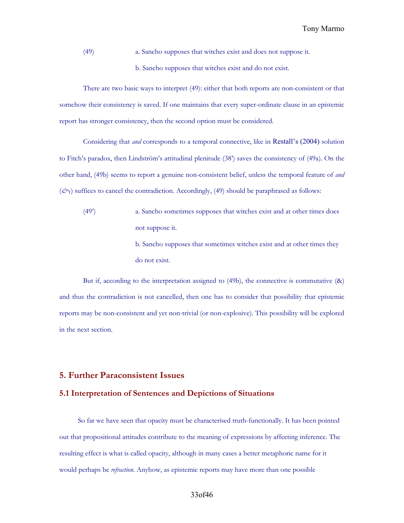(49) a. Sancho supposes that witches exist and does not suppose it.

b. Sancho supposes that witches exist and do not exist.

There are two basic ways to interpret (49): either that both reports are non-consistent or that somehow their consistency is saved. If one maintains that every super-ordinate clause in an epistemic report has stronger consistency, then the second option must be considered.

Considering that *and* corresponds to a temporal connective, like in Restall's (2004) solution to Fitch's paradox, then Lindström's attitudinal plenitude (38') saves the consistency of (49a). On the other hand, (49b) seems to report a genuine non-consistent belief, unless the temporal feature of *and*  $(\vec{c}r)$  suffices to cancel the contradiction. Accordingly, (49) should be paraphrased as follows:

- (49') a. Sancho sometimes supposes that witches exist and at other times does not suppose it. b. Sancho supposes that sometimes witches exist and at other times they
	- do not exist.

But if, according to the interpretation assigned to (49b), the connective is commutative (&) and thus the contradiction is not cancelled, then one has to consider that possibility that epistemic reports may be non-consistent and yet non-trivial (or non-explosive). This possibility will be explored in the next section.

## **5. Further Paraconsistent Issues**

### **5.1 Interpretation of Sentences and Depictions of Situations**

 So far we have seen that opacity must be characterised truth-functionally. It has been pointed out that propositional attitudes contribute to the meaning of expressions by affecting inference. The resulting effect is what is called opacity, although in many cases a better metaphoric name for it would perhaps be *refraction*. Anyhow, as epistemic reports may have more than one possible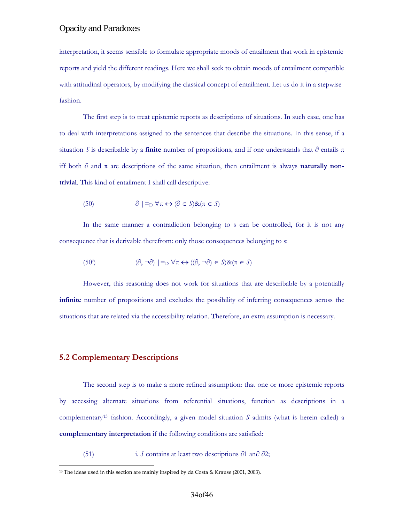interpretation, it seems sensible to formulate appropriate moods of entailment that work in epistemic reports and yield the different readings. Here we shall seek to obtain moods of entailment compatible with attitudinal operators, by modifying the classical concept of entailment. Let us do it in a stepwise fashion.

The first step is to treat epistemic reports as descriptions of situations. In such case, one has to deal with interpretations assigned to the sentences that describe the situations. In this sense, if a situation *S* is describable by a **finite** number of propositions, and if one understands that  $\partial$  entails  $\pi$ iff both ∂ and π are descriptions of the same situation, then entailment is always **naturally nontrivial**. This kind of entailment I shall call descriptive:

(50) 
$$
\partial \mid_{\text{D}} \forall \pi \leftrightarrow (\partial \in S) \& (\pi \in S)
$$

In the same manner a contradiction belonging to s can be controlled, for it is not any consequence that is derivable therefrom: only those consequences belonging to s:

(50') 
$$
(\partial, \neg \partial) | =_{\mathcal{D}} \forall \pi \leftrightarrow ((\partial, \neg \partial) \in S) \& (\pi \in S)
$$

However, this reasoning does not work for situations that are describable by a potentially **infinite** number of propositions and excludes the possibility of inferring consequences across the situations that are related via the accessibility relation. Therefore, an extra assumption is necessary.

#### **5.2 Complementary Descriptions**

 $\overline{a}$ 

The second step is to make a more refined assumption: that one or more epistemic reports by accessing alternate situations from referential situations, function as descriptions in a complementary<sup>[13](#page-33-0)</sup> fashion. Accordingly, a given model situation  $S$  admits (what is herein called) a **complementary interpretation** if the following conditions are satisfied:

## (51) i. *S* contains at least two descriptions *∂*1 an∂ *∂*2;

<span id="page-33-0"></span><sup>&</sup>lt;sup>13</sup> The ideas used in this section are mainly inspired by da Costa & Krause (2001, 2003).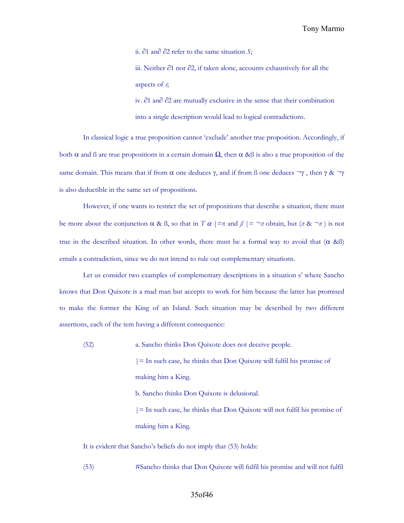Tony Marmo

ii. *∂*1 an∂ *∂*2 refer to the same situation *S*;

iii. Neither *∂*1 nor *∂*2, if taken alone, accounts exhaustively for all the aspects of *s*;

iv. *∂*1 an∂ *∂*2 are mutually exclusive in the sense that their combination into a single description would lead to logical contradictions.

In classical logic a true proposition cannot 'exclude' another true proposition. Accordingly, if both  $\alpha$  and  $\beta$  are true propositions in a certain domain  $\Omega$ , then  $\alpha$  & $\beta$  is also a true proposition of the same domain. This means that if from  $\alpha$  one deduces  $\gamma$ , and if from ß one deduces  $\neg \gamma$ , then  $\gamma \& \neg \gamma$ is also deductible in the same set of propositions.

However, if one wants to restrict the set of propositions that describe a situation, there must be more about the conjunction  $\alpha \& B$ , so that in  $T \alpha \mid = \pi$  and  $\beta \mid = \neg \pi$  obtain, but  $(\pi \& \neg \pi)$  is not true in the described situation. In other words, there must be a formal way to avoid that (α &ß) entails a contradiction, since we do not intend to rule out complementary situations.

Let us consider two examples of complementary descriptions in a situation s' where Sancho knows that Don Quixote is a mad man but accepts to work for him because the latter has promised to make the former the King of an Island. Such situation may be described by two different assertions, each of the tem having a different consequence:

(52) a. Sancho thinks Don Quixote does not deceive people.  $|=$  In such case, he thinks that Don Quixote will fulfil his promise of

making him a King.

b. Sancho thinks Don Quixote is delusional.

 $|=$  In such case, he thinks that Don Quixote will not fulfil his promise of making him a King.

It is evident that Sancho's beliefs do not imply that (53) holds:

(53) #Sancho thinks that Don Quixote will fulfil his promise and will not fulfil

#### 35of46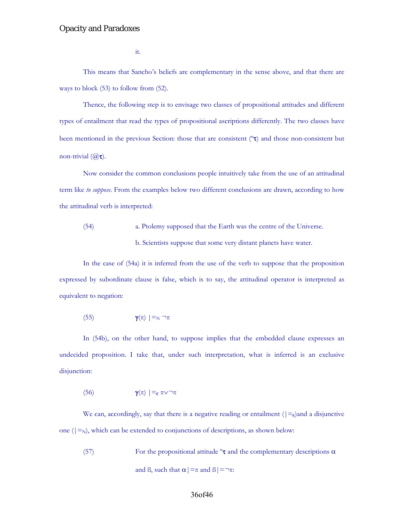it.

This means that Sancho's beliefs are complementary in the sense above, and that there are ways to block (53) to follow from (52).

Thence, the following step is to envisage two classes of propositional attitudes and different types of entailment that read the types of propositional ascriptions differently. The two classes have been mentioned in the previous Section: those that are consistent (ºτ) and those non-consistent but non-trivial  $((a)\tau)$ .

Now consider the common conclusions people intuitively take from the use of an attitudinal term like *to suppose*. From the examples below two different conclusions are drawn, according to how the attitudinal verb is interpreted:

(54) a. Ptolemy supposed that the Earth was the centre of the Universe. b. Scientists suppose that some very distant planets have water.

In the case of (54a) it is inferred from the use of the verb to suppose that the proposition expressed by subordinate clause is false, which is to say, the attitudinal operator is interpreted as equivalent to negation:

$$
\gamma(\pi) \mid =_{N} \neg \pi
$$

In (54b), on the other hand, to suppose implies that the embedded clause expresses an undecided proposition. I take that, under such interpretation, what is inferred is an exclusive disjunction:

(56) 
$$
\gamma(\pi) \mid =_{\varepsilon} \pi \vee \neg \pi
$$

We can, accordingly, say that there is a negative reading or entailment ( $|=\epsilon$ )and a disjunctive one  $(|=_{N})$ , which can be extended to conjunctions of descriptions, as shown below:

(57) For the propositional attitude  $\sigma \tau$  and the complementary descriptions  $\alpha$ and B, such that  $\alpha$  | =  $\pi$  and B | =  $\neg$  $\pi$ :

## 36of46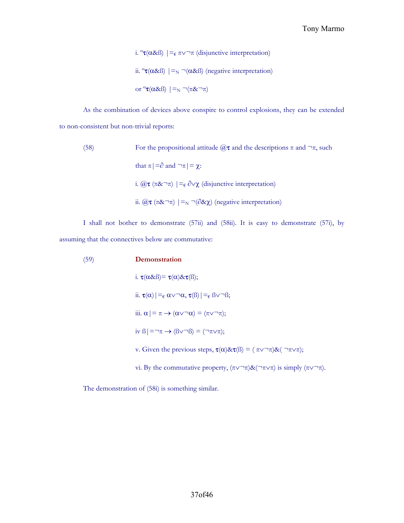i. <sup>o</sup>**τ**(α&ß) | =<sub>€</sub> π∨¬π (disjunctive interpretation) ii. <sup>o</sup>**τ**(α&β) |=<sub>N</sub> ¬(α&β) (negative interpretation) or  $\sigma(\alpha \& \beta)$  | =<sub>N</sub>  $\neg(\pi \& \neg \pi)$ 

As the combination of devices above conspire to control explosions, they can be extended to non-consistent but non-trivial reports:

\n- (58) For the propositional attitude 
$$
@{\tau}
$$
 and the descriptions π and  $\neg \pi$ , such that  $\pi | = \partial$  and  $\neg \pi | = \chi$ :
\n- i.  $@{\tau} (\pi \& \neg \pi) | = \varepsilon \partial \lor \chi$  (disjunctive interpretation)
\n- ii.  $@{\tau} (\pi \& \neg \pi) | =_{\mathbb{N}} \neg (\partial \& \chi)$  (negative interpretation)
\n

I shall not bother to demonstrate (57ii) and (58ii). It is easy to demonstrate (57i), by assuming that the connectives below are commutative:

(59) **Demonstration** i.  $\tau(\alpha \& \beta) = \tau(\alpha) \& \tau(\beta);$ ii.  $\tau(\alpha)$ |= $\epsilon \alpha \vee \neg \alpha$ ,  $\tau(\beta)$ |= $\epsilon \beta \vee \neg \beta$ ; iii.  $\alpha$ | =  $\pi \rightarrow (\alpha \vee \neg \alpha) = (\pi \vee \neg \pi);$ iv  $\beta$ | =¬ $\pi \rightarrow (\beta \vee \neg \beta) = (\neg \pi \vee \pi);$ v. Given the previous steps,  $\tau(\alpha)$ & $\tau(\beta) = (\pi \vee \neg \pi)$ & $(\neg \pi \vee \pi)$ ; vi. By the commutative property,  $(\pi \vee \neg \pi)$ & $(\neg \pi \vee \pi)$  is simply  $(\pi \vee \neg \pi)$ .

The demonstration of (58i) is something similar.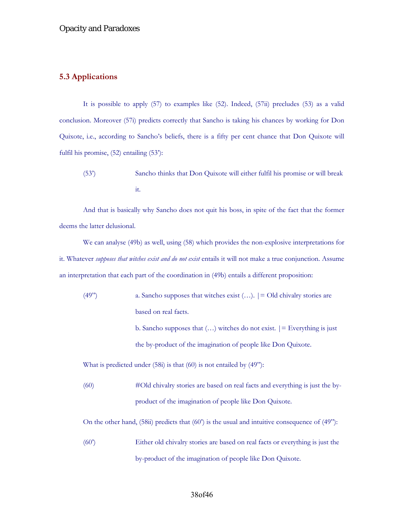## **5.3 Applications**

It is possible to apply (57) to examples like (52). Indeed, (57ii) precludes (53) as a valid conclusion. Moreover (57i) predicts correctly that Sancho is taking his chances by working for Don Quixote, i.e., according to Sancho's beliefs, there is a fifty per cent chance that Don Quixote will fulfil his promise, (52) entailing (53'):

(53') Sancho thinks that Don Quixote will either fulfil his promise or will break it.

And that is basically why Sancho does not quit his boss, in spite of the fact that the former deems the latter delusional.

We can analyse (49b) as well, using (58) which provides the non-explosive interpretations for it. Whatever *supposes that witches exist and do not exist* entails it will not make a true conjunction. Assume an interpretation that each part of the coordination in (49b) entails a different proposition:

(49") a. Sancho supposes that witches exist  $(...)$ .  $] = Old$  chivalry stories are based on real facts.

> b. Sancho supposes that  $(...)$  witches do not exist.  $|=$  Everything is just the by-product of the imagination of people like Don Quixote.

What is predicted under (58i) is that (60) is not entailed by (49"):

(60) #Old chivalry stories are based on real facts and everything is just the byproduct of the imagination of people like Don Quixote.

On the other hand,  $(58ii)$  predicts that  $(60')$  is the usual and intuitive consequence of  $(49'')$ :

(60') Either old chivalry stories are based on real facts or everything is just the by-product of the imagination of people like Don Quixote.

## 38of46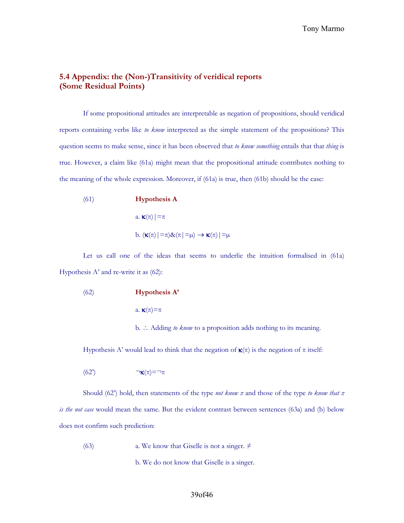## **5.4 Appendix: the (Non-)Transitivity of veridical reports (Some Residual Points)**

If some propositional attitudes are interpretable as negation of propositions, should veridical reports containing verbs like *to know* interpreted as the simple statement of the propositions? This question seems to make sense, since it has been observed that *to know something* entails that that *thing* is true. However, a claim like (61a) might mean that the propositional attitude contributes nothing to the meaning of the whole expression. Moreover, if (61a) is true, then (61b) should be the case:

(61) **Hypothesis A**  
\na. 
$$
\kappa(\pi) | = \pi
$$
  
\nb.  $(\kappa(\pi) | = \pi) \& (\pi | = \mu) \rightarrow \kappa(\pi) | = \mu$ 

Let us call one of the ideas that seems to underlie the intuition formalised in (61a) Hypothesis A' and re-write it as (62):

(62) **Hypothesis A'**

a.  $\kappa(\pi)=\pi$ 

b. ∴ Adding *to know* to a proposition adds nothing to its meaning.

Hypothesis A' would lead to think that the negation of  $\kappa(\pi)$  is the negation of  $\pi$  itself:

$$
(62^{\circ}) \qquad \qquad \neg \mathbf{K}(\pi) = \neg \pi
$$

Should (62') hold, then statements of the type *not know π* and those of the type *to know that π is the not case* would mean the same. But the evident contrast between sentences (63a) and (b) below does not confirm such prediction:

(63) **a.** We know that Giselle is not a singer.  $\neq$ 

b. We do not know that Giselle is a singer.

#### 39of46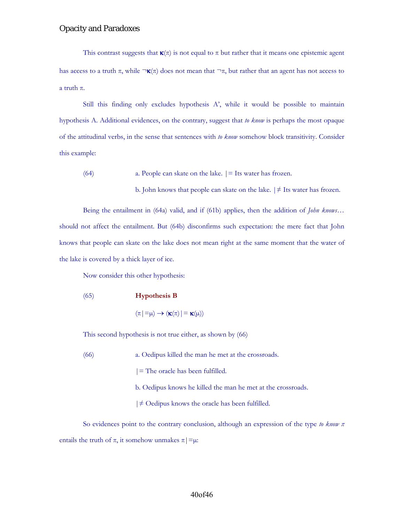This contrast suggests that  $\kappa(\pi)$  is not equal to  $\pi$  but rather that it means one epistemic agent has access to a truth  $\pi$ , while  $\neg \kappa(\pi)$  does not mean that  $\neg \pi$ , but rather that an agent has not access to a truth π.

Still this finding only excludes hypothesis A', while it would be possible to maintain hypothesis A. Additional evidences, on the contrary, suggest that *to know* is perhaps the most opaque of the attitudinal verbs, in the sense that sentences with *to know* somehow block transitivity. Consider this example:

(64) a. People can skate on the lake. |= Its water has frozen.

b. John knows that people can skate on the lake.  $\vert \neq \text{Its water has frozen.}$ 

Being the entailment in (64a) valid, and if (61b) applies, then the addition of *John knows*… should not affect the entailment. But (64b) disconfirms such expectation: the mere fact that John knows that people can skate on the lake does not mean right at the same moment that the water of the lake is covered by a thick layer of ice.

Now consider this other hypothesis:

(65) **Hypothesis B**

 $(\pi|\equiv\mu)\rightarrow (\kappa(\pi)|\equiv \kappa(\mu))$ 

This second hypothesis is not true either, as shown by (66)

(66) a. Oedipus killed the man he met at the crossroads.

|= The oracle has been fulfilled.

- b. Oedipus knows he killed the man he met at the crossroads.
- |≠ Oedipus knows the oracle has been fulfilled.

So evidences point to the contrary conclusion, although an expression of the type *to know π* entails the truth of  $\pi$ , it somehow unmakes  $\pi$ | = $\mu$ :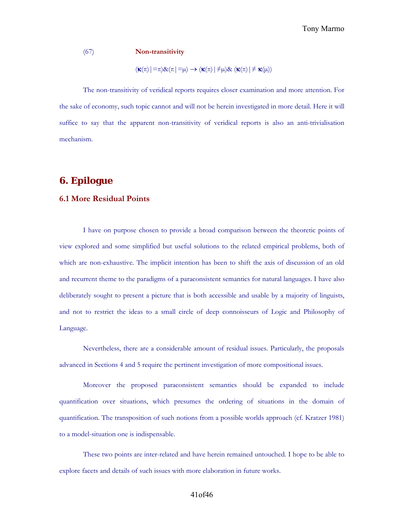#### (67) **Non-transitivity**

 $(\kappa(\pi)|=\pi)\&(\pi|= \mu) \rightarrow (\kappa(\pi)|\neq \mu)\& (\kappa(\pi)|\neq \kappa(\mu))$ 

The non-transitivity of veridical reports requires closer examination and more attention. For the sake of economy, such topic cannot and will not be herein investigated in more detail. Here it will suffice to say that the apparent non-transitivity of veridical reports is also an anti-trivialisation mechanism.

## **6. Epilogue**

#### **6.1 More Residual Points**

I have on purpose chosen to provide a broad comparison between the theoretic points of view explored and some simplified but useful solutions to the related empirical problems, both of which are non-exhaustive. The implicit intention has been to shift the axis of discussion of an old and recurrent theme to the paradigms of a paraconsistent semantics for natural languages. I have also deliberately sought to present a picture that is both accessible and usable by a majority of linguists, and not to restrict the ideas to a small circle of deep connoisseurs of Logic and Philosophy of Language.

Nevertheless, there are a considerable amount of residual issues. Particularly, the proposals advanced in Sections 4 and 5 require the pertinent investigation of more compositional issues.

Moreover the proposed paraconsistent semantics should be expanded to include quantification over situations, which presumes the ordering of situations in the domain of quantification. The transposition of such notions from a possible worlds approach (cf. Kratzer 1981) to a model-situation one is indispensable.

These two points are inter-related and have herein remained untouched. I hope to be able to explore facets and details of such issues with more elaboration in future works.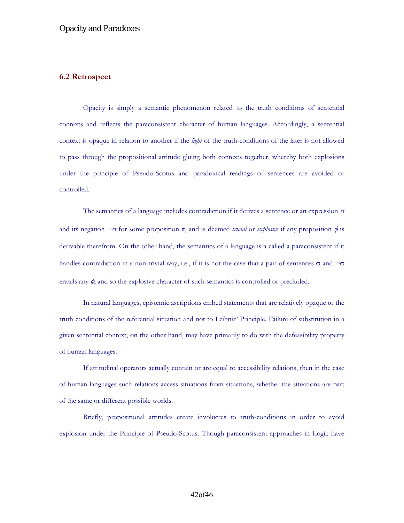## **6.2 Retrospect**

Opacity is simply a semantic phenomenon related to the truth conditions of sentential contexts and reflects the paraconsistent character of human languages. Accordingly, a sentential context is opaque in relation to another if the *light* of the truth-conditions of the later is not allowed to pass through the propositional attitude gluing both contexts together, whereby both explosions under the principle of Pseudo-Scotus and paradoxical readings of sentences are avoided or controlled.

The semantics of a language includes contradiction if it derives a sentence or an expression  $\sigma$ and its negation  $\neg \sigma$  for some proposition  $\pi$ , and is deemed *trivial* or *explosive* if any proposition  $\phi$  is derivable therefrom. On the other hand, the semantics of a language is a called a paraconsistent if it handles contradiction in a non-trivial way, i.e., if it is not the case that a pair of sentences  $\sigma$  and  $\neg \sigma$ entails any  $\phi$ , and so the explosive character of such semantics is controlled or precluded.

In natural languages, epistemic ascriptions embed statements that are relatively opaque to the truth conditions of the referential situation and not to Leibniz' Principle. Failure of substitution in a given sentential context, on the other hand, may have primarily to do with the defeasibility property of human languages.

If attitudinal operators actually contain or are equal to accessibility relations, then in the case of human languages such relations access situations from situations, whether the situations are part of the same or different possible worlds.

Briefly, propositional attitudes create involucres to truth-conditions in order to avoid explosion under the Principle of Pseudo-Scotus. Though paraconsistent approaches in Logic have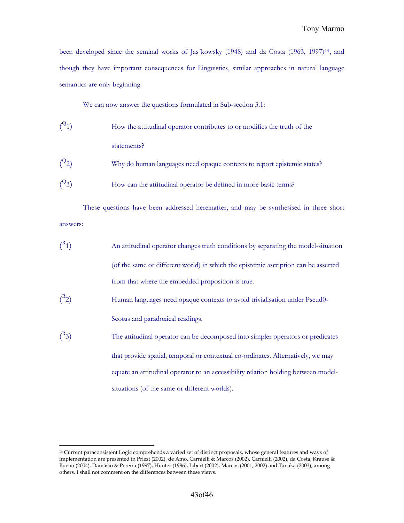been developed since the seminal works of Jas´kowsky (1948) and da Costa (1963, 1997)[14](#page-42-0), and though they have important consequences for Linguistics, similar approaches in natural language semantics are only beginning.

We can now answer the questions formulated in Sub-section 3.1:

- $(2_1)$ How the attitudinal operator contributes to or modifies the truth of the statements?
- $(2)$ Why do human languages need opaque contexts to report epistemic states?
- $(2, 3)$ How can the attitudinal operator be defined in more basic terms?

These questions have been addressed hereinafter, and may be synthesised in three short answers:

- $\binom{R}{ }$ 1) An attitudinal operator changes truth conditions by separating the model-situation (of the same or different world) in which the epistemic ascription can be asserted from that where the embedded proposition is true.
- $\binom{R}{ }$ Human languages need opaque contexts to avoid trivialisation under Pseud0-Scotus and paradoxical readings.
- $\binom{R}{ }$ The attitudinal operator can be decomposed into simpler operators or predicates that provide spatial, temporal or contextual co-ordinates. Alternatively, we may equate an attitudinal operator to an accessibility relation holding between modelsituations (of the same or different worlds).

 $\overline{a}$ 

<span id="page-42-0"></span><sup>14</sup> Current paraconsistent Logic comprehends a varied set of distinct proposals, whose general features and ways of implementation are presented in Priest (2002), de Amo, Carnielli & Marcos (2002), Carnielli (2002), da Costa, Krause & Bueno (2004), Damásio & Pereira (1997), Hunter (1996), Libert (2002), Marcos (2001, 2002) and Tanaka (2003), among others. I shall not comment on the differences between these views.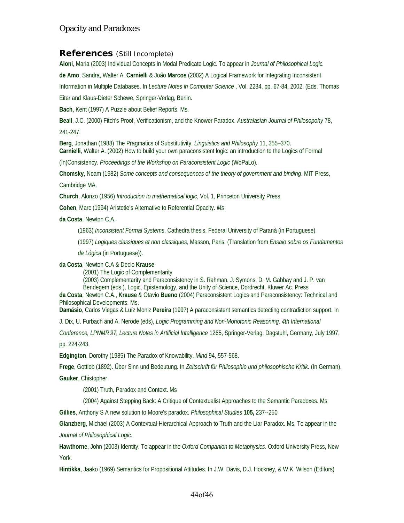## **References** (Still Incomplete)

**Aloni**, Maria (2003) Individual Concepts in Modal Predicate Logic. To appear in *Journal of Philosophical Logic.*

**de Amo**, Sandra, Walter A. **Carnielli** & João **Marcos** (2002) A Logical Framework for Integrating Inconsistent

Information in Multiple Databases. In *Lecture Notes in Computer Science* , Vol. 2284, pp. 67-84, 2002. (Eds. Thomas

Eiter and Klaus-Dieter Schewe, Springer-Verlag, Berlin.

**Bach**, Kent (1997) A Puzzle about Belief Reports. Ms.

**Beall**, J.C. (2000) Fitch's Proof, Verificationism, and the Knower Paradox. *Australasian Journal of Philosopohy* 78,

241-247.

**Berg**, Jonathan (1988) The Pragmatics of Substitutivity. *Linguistics and Philosophy* 11, 355–370. **Carnielli**, Walter A. (2002) How to build your own paraconsistent logic: an introduction to the Logics of Formal

(In)Consistency. *Proceedings of the Workshop on Paraconsistent Logic* (WoPaLo).

**Chomsky**, Noam (1982) *Some concepts and consequences of the theory of government and binding*. MIT Press,

Cambridge MA.

**Church**, Alonzo (1956) *Introduction to mathematical logic*, Vol. 1, Princeton University Press.

**Cohen**, Marc (1994) Aristotle's Alternative to Referential Opacity. *Ms*

**da Costa**, Newton C.A.

(1963) *Inconsistent Formal Systems*. Cathedra thesis, Federal University of Paraná (in Portuguese).

(1997) *Logiques classiques et non classiques*, Masson, Paris. (Translation from *Ensaio sobre os Fundamentos* 

*da Lógica* (in Portuguese)).

**da Costa**, Newton C.A & Decio **Krause**

(2001) The Logic of Complementarity

(2003) Complementarity and Paraconsistency in S. Rahman, J. Symons, D. M. Gabbay and J. P. van Bendegem (eds.), Logic, Epistemology, and the Unity of Science, Dordrecht, Kluwer Ac. Press

**da Costa**, Newton C.A., **Krause** & Otavio **Bueno** (2004) Paraconsistent Logics and Paraconsistency: Technical and Philosophical Developments. Ms.

**Damásio**, Carlos Viegas & Luíz Moniz **Pereira** (1997) A paraconsistent semantics detecting contradiction support. In

J. Dix, U. Furbach and A. Nerode (eds), *Logic Programming and Non-Monotonic Reasoning, 4th International* 

*Conference, LPNMR'97, Lecture Notes in Artificial Intelligence* 1265, Springer-Verlag, Dagstuhl, Germany, July 1997, pp. 224-243.

**Edgington**, Dorothy (1985) The Paradox of Knowability. *Mind* 94, 557-568.

**Frege**, Gottlob (1892). Über Sinn und Bedeutung. In *Zeitschrift für Philosophie und philosophische Kritik.* (In German).

**Gauker**, Chistopher

(2001) Truth, Paradox and Context. Ms

(2004) Against Stepping Back: A Critique of Contextualist Approaches to the Semantic Paradoxes. Ms

**Gillies**, Anthony S A new solution to Moore's paradox. *Philosophical Studies* **105,** 237--250

**Glanzberg**, Michael (2003) A Contextual-Hierarchical Approach to Truth and the Liar Paradox. Ms. To appear in the *Journal of Philosophical Logic*.

**Hawthorne**, John (2003) Identity. To appear in the *Oxford Companion to Metaphysics*. Oxford University Press, New York.

**Hintikka**, Jaako (1969) Semantics for Propositional Attitudes. In J.W. Davis, D.J. Hockney, & W.K. Wilson (Editors)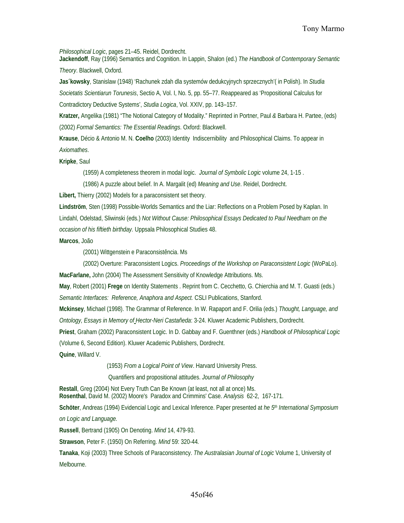*Philosophical Logic*, pages 21–45. Reidel, Dordrecht.

**Jackendoff**, Ray (1996) Semantics and Cognition. In Lappin, Shalon (ed.) *The Handbook of Contemporary Semantic Theory*. Blackwell, Oxford.

**Jas´kowsky**, Stanislaw (1948) 'Rachunek zdah dla systemów dedukcyjnych sprzecznych'( in Polish). In *Studia Societatis Scientiarun Torunesis*, Sectio A, Vol. I, No. 5, pp. 55–77. Reappeared as 'Propositional Calculus for Contradictory Deductive Systems', *Studia Logica*, Vol. XXIV, pp. 143–157.

**Kratzer,** Angelika (1981) "The Notional Category of Modality." Reprinted in Portner, Paul *&* Barbara H. Partee, (eds) (2002) *Formal Semantics: The Essential Readings*. Oxford: Blackwell.

Krause, Décio & Antonio M. N. Coelho (2003) Identity Indiscernibility and Philosophical Claims. To appear in *Axiomathes*.

**Kripke**, Saul

(1959) A completeness theorem in modal logic. *Journal of Symbolic Logic* volume 24, 1-15 .

(1986) A puzzle about belief. In A. Margalit (ed) *Meaning and Use*. Reidel, Dordrecht.

**Libert,** Thierry (2002) Models for a paraconsistent set theory.

**Lindström**, Sten (1998) Possible-Worlds Semantics and the Liar: Reflections on a Problem Posed by Kaplan. In Lindahl, Odelstad, Sliwinski (eds.) *Not Without Cause: Philosophical Essays Dedicated to Paul Needham on the occasion of his fiftieth birthday.* Uppsala Philosophical Studies 48.

**Marcos**, João

(2001) Wittgenstein e Paraconsistência. Ms

(2002) Overture: Paraconsistent Logics. *Proceedings of the Workshop on Paraconsistent Logic* (WoPaLo). **MacFarlane,** John (2004) The Assessment Sensitivity of Knowledge Attributions. Ms.

**May**, Robert (2001) **Frege** on Identity Statements . Reprint from C. Cecchetto, G. Chierchia and M. T. Guasti (eds.) *Semantic Interfaces: Reference, Anaphora and Aspect.* CSLI Publications, Stanford.

**Mckinsey**, Michael (1998). The Grammar of Reference. In W. Rapaport and F. Orilia (eds.) *Thought, Language, and Ontology, Essays in Memory of Hector-Neri Castañeda*: 3-24. Kluwer Academic Publishers, Dordrecht.

**Priest**, Graham (2002) Paraconsistent Logic. In D. Gabbay and F. Guenthner (eds.) *Handbook of Philosophical Logic*  (Volume 6, Second Edition). Kluwer Academic Publishers, Dordrecht.

**Quine**, Willard V.

(1953) *From a Logical Point of View*. Harvard University Press.

Quantifiers and propositional attitudes. *Journal of Philosophy* 

**Restall**, Greg (2004) Not Every Truth Can Be Known (at least, not all at once) Ms. **Rosenthal**, David M. (2002) Moore's Paradox and Crimmins' Case. *Analysis* 62-2, 167-171.

**Schöter**, Andreas (1994) Evidencial Logic and Lexical Inference. Paper presented at *he 5th International Symposium on Logic and Language.* 

**Russell**, Bertrand (1905) On Denoting. *Mind* 14, 479-93.

**Strawson**, Peter F. (1950) On Referring. *Mind* 59: 320-44*.*

**Tanaka**, Koji (2003) Three Schools of Paraconsistency. *The Australasian Journal of Logic* Volume 1, University of Melbourne.